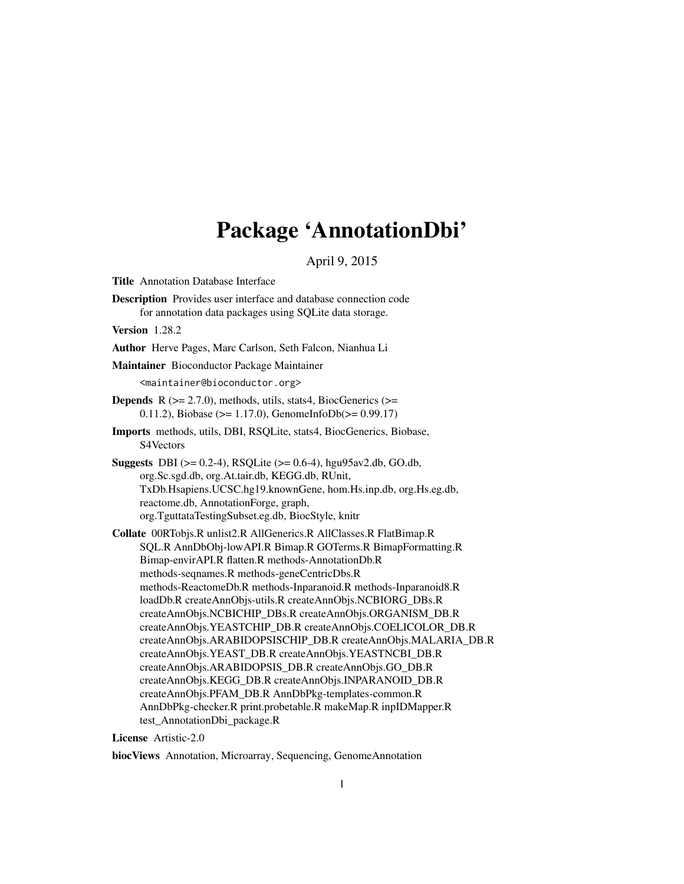# Package 'AnnotationDbi'

April 9, 2015

<span id="page-0-0"></span>Title Annotation Database Interface

Description Provides user interface and database connection code for annotation data packages using SQLite data storage.

Version 1.28.2

Author Herve Pages, Marc Carlson, Seth Falcon, Nianhua Li

Maintainer Bioconductor Package Maintainer

<maintainer@bioconductor.org>

**Depends** R  $(>= 2.7.0)$ , methods, utils, stats4, BiocGenerics  $(>=$ 0.11.2), Biobase ( $>= 1.17.0$ ), GenomeInfoDb( $>= 0.99.17$ )

Imports methods, utils, DBI, RSQLite, stats4, BiocGenerics, Biobase, S4Vectors

Suggests DBI (>= 0.2-4), RSQLite (>= 0.6-4), hgu95av2.db, GO.db, org.Sc.sgd.db, org.At.tair.db, KEGG.db, RUnit, TxDb.Hsapiens.UCSC.hg19.knownGene, hom.Hs.inp.db, org.Hs.eg.db, reactome.db, AnnotationForge, graph, org.TguttataTestingSubset.eg.db, BiocStyle, knitr

Collate 00RTobjs.R unlist2.R AllGenerics.R AllClasses.R FlatBimap.R SQL.R AnnDbObj-lowAPI.R Bimap.R GOTerms.R BimapFormatting.R Bimap-envirAPI.R flatten.R methods-AnnotationDb.R methods-seqnames.R methods-geneCentricDbs.R methods-ReactomeDb.R methods-Inparanoid.R methods-Inparanoid8.R loadDb.R createAnnObjs-utils.R createAnnObjs.NCBIORG\_DBs.R createAnnObjs.NCBICHIP\_DBs.R createAnnObjs.ORGANISM\_DB.R createAnnObjs.YEASTCHIP\_DB.R createAnnObjs.COELICOLOR\_DB.R createAnnObjs.ARABIDOPSISCHIP\_DB.R createAnnObjs.MALARIA\_DB.R createAnnObjs.YEAST\_DB.R createAnnObjs.YEASTNCBI\_DB.R createAnnObjs.ARABIDOPSIS\_DB.R createAnnObjs.GO\_DB.R createAnnObjs.KEGG\_DB.R createAnnObjs.INPARANOID\_DB.R createAnnObjs.PFAM\_DB.R AnnDbPkg-templates-common.R AnnDbPkg-checker.R print.probetable.R makeMap.R inpIDMapper.R test\_AnnotationDbi\_package.R

License Artistic-2.0

biocViews Annotation, Microarray, Sequencing, GenomeAnnotation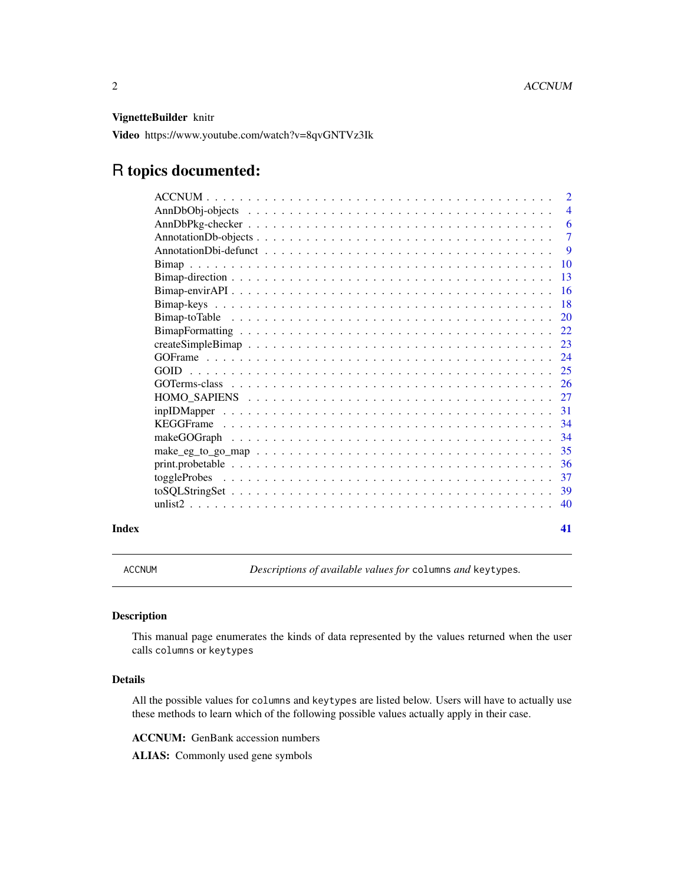# <span id="page-1-0"></span>VignetteBuilder knitr

Video https://www.youtube.com/watch?v=8qvGNTVz3Ik

# R topics documented:

|       |                                                                                                               | $\overline{2}$ |
|-------|---------------------------------------------------------------------------------------------------------------|----------------|
|       |                                                                                                               | $\overline{4}$ |
|       |                                                                                                               | 6              |
|       |                                                                                                               | $\tau$         |
|       |                                                                                                               | -9             |
|       |                                                                                                               | <b>10</b>      |
|       |                                                                                                               | -13            |
|       |                                                                                                               | -16            |
|       |                                                                                                               | 18             |
|       |                                                                                                               | 20             |
|       |                                                                                                               | 22             |
|       |                                                                                                               | 23             |
|       |                                                                                                               |                |
|       | <b>GOID</b>                                                                                                   |                |
|       |                                                                                                               |                |
|       |                                                                                                               | 27             |
|       | $inpIDMapper \dots \dots \dots \dots \dots \dots \dots \dots \dots \dots \dots \dots \dots \dots \dots \dots$ | 31             |
|       |                                                                                                               | -34            |
|       |                                                                                                               | 34             |
|       |                                                                                                               | -35            |
|       |                                                                                                               | -36            |
|       |                                                                                                               | 37             |
|       |                                                                                                               | 39             |
|       |                                                                                                               | 40             |
| Index |                                                                                                               | 41             |

ACCNUM *Descriptions of available values for* columns *and* keytypes*.*

# Description

This manual page enumerates the kinds of data represented by the values returned when the user calls columns or keytypes

# Details

All the possible values for columns and keytypes are listed below. Users will have to actually use these methods to learn which of the following possible values actually apply in their case.

ACCNUM: GenBank accession numbers

ALIAS: Commonly used gene symbols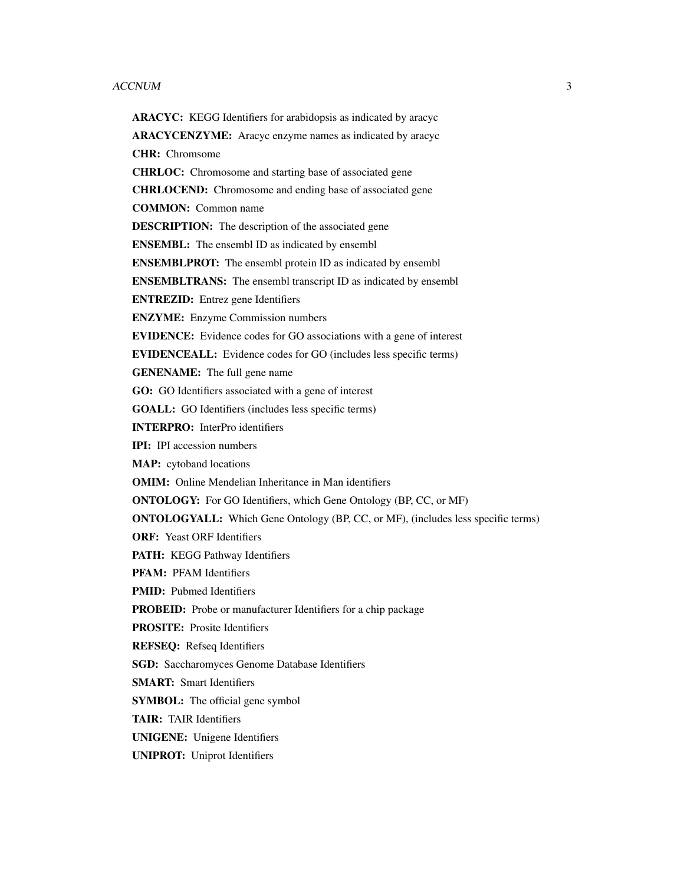#### ACCNUM 3

ARACYC: KEGG Identifiers for arabidopsis as indicated by aracyc ARACYCENZYME: Aracyc enzyme names as indicated by aracyc CHR: Chromsome CHRLOC: Chromosome and starting base of associated gene CHRLOCEND: Chromosome and ending base of associated gene COMMON: Common name DESCRIPTION: The description of the associated gene ENSEMBL: The ensembl ID as indicated by ensembl ENSEMBLPROT: The ensembl protein ID as indicated by ensembl ENSEMBLTRANS: The ensembl transcript ID as indicated by ensembl ENTREZID: Entrez gene Identifiers ENZYME: Enzyme Commission numbers EVIDENCE: Evidence codes for GO associations with a gene of interest EVIDENCEALL: Evidence codes for GO (includes less specific terms) GENENAME: The full gene name GO: GO Identifiers associated with a gene of interest GOALL: GO Identifiers (includes less specific terms) INTERPRO: InterPro identifiers IPI: IPI accession numbers MAP: cytoband locations OMIM: Online Mendelian Inheritance in Man identifiers ONTOLOGY: For GO Identifiers, which Gene Ontology (BP, CC, or MF) ONTOLOGYALL: Which Gene Ontology (BP, CC, or MF), (includes less specific terms) ORF: Yeast ORF Identifiers PATH: KEGG Pathway Identifiers PFAM: PFAM Identifiers PMID: Pubmed Identifiers PROBEID: Probe or manufacturer Identifiers for a chip package PROSITE: Prosite Identifiers REFSEQ: Refseq Identifiers SGD: Saccharomyces Genome Database Identifiers SMART: Smart Identifiers **SYMBOL:** The official gene symbol TAIR: TAIR Identifiers UNIGENE: Unigene Identifiers UNIPROT: Uniprot Identifiers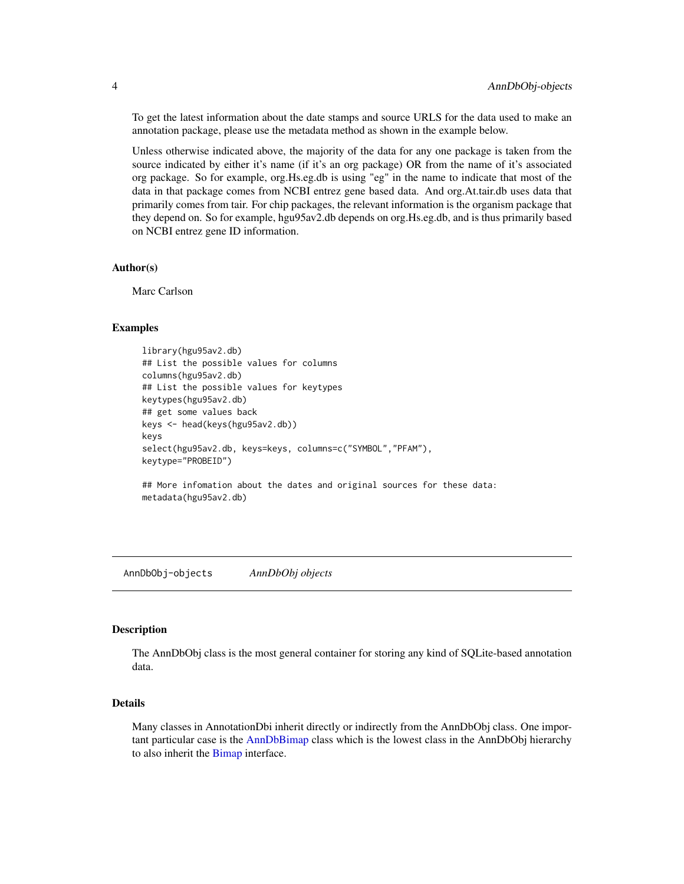To get the latest information about the date stamps and source URLS for the data used to make an annotation package, please use the metadata method as shown in the example below.

Unless otherwise indicated above, the majority of the data for any one package is taken from the source indicated by either it's name (if it's an org package) OR from the name of it's associated org package. So for example, org.Hs.eg.db is using "eg" in the name to indicate that most of the data in that package comes from NCBI entrez gene based data. And org.At.tair.db uses data that primarily comes from tair. For chip packages, the relevant information is the organism package that they depend on. So for example, hgu95av2.db depends on org.Hs.eg.db, and is thus primarily based on NCBI entrez gene ID information.

#### Author(s)

Marc Carlson

#### Examples

```
library(hgu95av2.db)
## List the possible values for columns
columns(hgu95av2.db)
## List the possible values for keytypes
keytypes(hgu95av2.db)
## get some values back
keys <- head(keys(hgu95av2.db))
keys
select(hgu95av2.db, keys=keys, columns=c("SYMBOL","PFAM"),
keytype="PROBEID")
```
## More infomation about the dates and original sources for these data: metadata(hgu95av2.db)

AnnDbObj-objects *AnnDbObj objects*

#### Description

The AnnDbObj class is the most general container for storing any kind of SQLite-based annotation data.

# Details

Many classes in AnnotationDbi inherit directly or indirectly from the AnnDbObj class. One important particular case is the [AnnDbBimap](#page-9-1) class which is the lowest class in the AnnDbObj hierarchy to also inherit the [Bimap](#page-9-2) interface.

<span id="page-3-0"></span>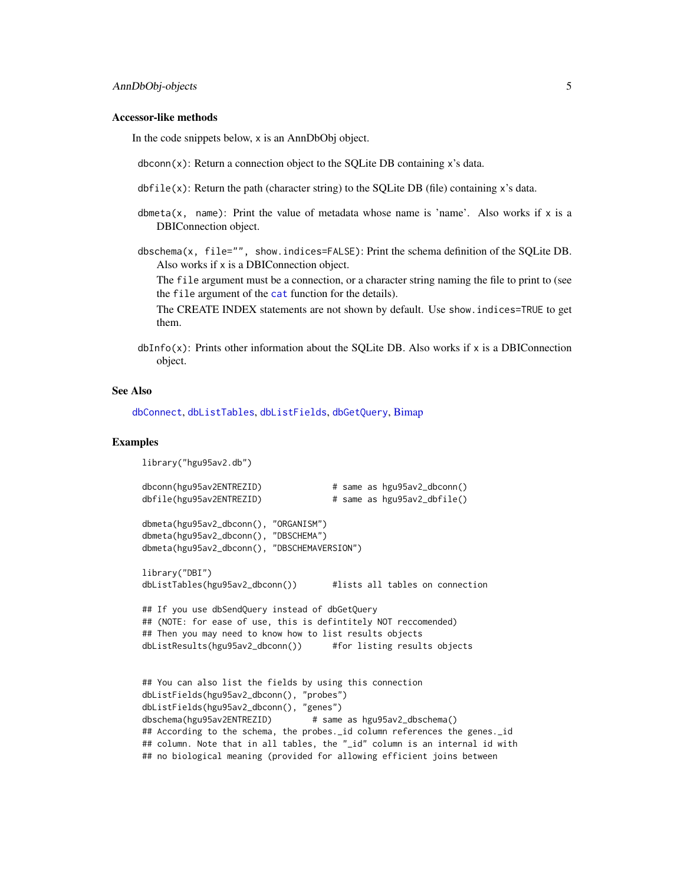#### Accessor-like methods

In the code snippets below, x is an AnnDbObj object.

dbconn(x): Return a connection object to the SQLite DB containing x's data.

 $dbfile(x)$ : Return the path (character string) to the SQLite DB (file) containing x's data.

- dbmeta(x, name): Print the value of metadata whose name is 'name'. Also works if  $x$  is a DBIConnection object.
- dbschema(x, file="", show.indices=FALSE): Print the schema definition of the SQLite DB. Also works if x is a DBIConnection object.

The file argument must be a connection, or a character string naming the file to print to (see the file argument of the [cat](#page-0-0) function for the details).

The CREATE INDEX statements are not shown by default. Use show.indices=TRUE to get them.

 $dbInfo(x)$ : Prints other information about the SQLite DB. Also works if x is a DBIConnection object.

#### See Also

[dbConnect](#page-0-0), [dbListTables](#page-0-0), [dbListFields](#page-0-0), [dbGetQuery](#page-0-0), [Bimap](#page-9-2)

# Examples

library("hgu95av2.db")

```
dbconn(hgu95av2ENTREZID) # same as hgu95av2_dbconn()
dbfile(hgu95av2ENTREZID) # same as hgu95av2_dbfile()
dbmeta(hgu95av2_dbconn(), "ORGANISM")
dbmeta(hgu95av2_dbconn(), "DBSCHEMA")
dbmeta(hgu95av2_dbconn(), "DBSCHEMAVERSION")
library("DBI")
dbListTables(hgu95av2_dbconn()) #lists all tables on connection
## If you use dbSendQuery instead of dbGetQuery
## (NOTE: for ease of use, this is defintitely NOT reccomended)
## Then you may need to know how to list results objects
dbListResults(hgu95av2_dbconn()) #for listing results objects
## You can also list the fields by using this connection
dbListFields(hgu95av2_dbconn(), "probes")
dbListFields(hgu95av2_dbconn(), "genes")
dbschema(hgu95av2ENTREZID) # same as hgu95av2_dbschema()
## According to the schema, the probes._id column references the genes._id
## column. Note that in all tables, the "_id" column is an internal id with
## no biological meaning (provided for allowing efficient joins between
```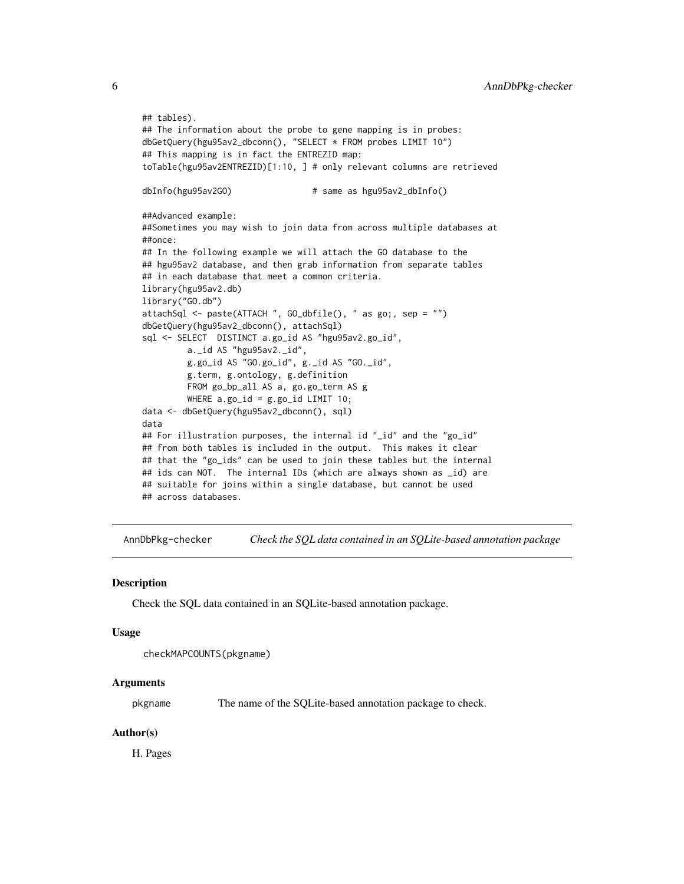```
## tables).
## The information about the probe to gene mapping is in probes:
dbGetQuery(hgu95av2_dbconn(), "SELECT * FROM probes LIMIT 10")
## This mapping is in fact the ENTREZID map:
toTable(hgu95av2ENTREZID)[1:10, ] # only relevant columns are retrieved
dbInfo(hgu95av2GO) # same as hgu95av2_dbInfo()
##Advanced example:
##Sometimes you may wish to join data from across multiple databases at
##once:
## In the following example we will attach the GO database to the
## hgu95av2 database, and then grab information from separate tables
## in each database that meet a common criteria.
library(hgu95av2.db)
library("GO.db")
attachSql <- paste(ATTACH ", GO_dbfile(), " as go;, sep = "")
dbGetQuery(hgu95av2_dbconn(), attachSql)
sql <- SELECT DISTINCT a.go_id AS "hgu95av2.go_id",
         a._id AS "hgu95av2._id",
         g.go_id AS "GO.go_id", g._id AS "GO._id",
         g.term, g.ontology, g.definition
         FROM go_bp_all AS a, go.go_term AS g
         WHERE a.go_id = g.go_id LIMIT 10;data <- dbGetQuery(hgu95av2_dbconn(), sql)
data
## For illustration purposes, the internal id "_id" and the "go_id"
## from both tables is included in the output. This makes it clear
## that the "go_ids" can be used to join these tables but the internal
## ids can NOT. The internal IDs (which are always shown as _id) are
## suitable for joins within a single database, but cannot be used
## across databases.
```
AnnDbPkg-checker *Check the SQL data contained in an SQLite-based annotation package*

#### Description

Check the SQL data contained in an SQLite-based annotation package.

#### Usage

```
checkMAPCOUNTS(pkgname)
```
# Arguments

pkgname The name of the SQLite-based annotation package to check.

#### Author(s)

H. Pages

<span id="page-5-0"></span>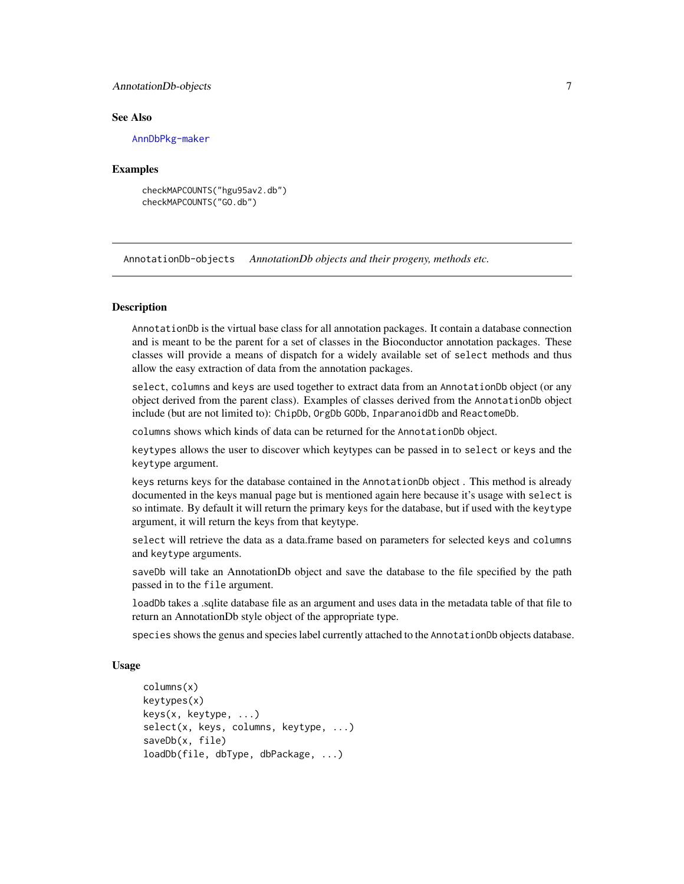# <span id="page-6-0"></span>AnnotationDb-objects 7

#### See Also

[AnnDbPkg-maker](#page-0-0)

#### Examples

checkMAPCOUNTS("hgu95av2.db") checkMAPCOUNTS("GO.db")

AnnotationDb-objects *AnnotationDb objects and their progeny, methods etc.*

# <span id="page-6-1"></span>**Description**

AnnotationDb is the virtual base class for all annotation packages. It contain a database connection and is meant to be the parent for a set of classes in the Bioconductor annotation packages. These classes will provide a means of dispatch for a widely available set of select methods and thus allow the easy extraction of data from the annotation packages.

select, columns and keys are used together to extract data from an AnnotationDb object (or any object derived from the parent class). Examples of classes derived from the AnnotationDb object include (but are not limited to): ChipDb, OrgDb GODb, InparanoidDb and ReactomeDb.

columns shows which kinds of data can be returned for the AnnotationDb object.

keytypes allows the user to discover which keytypes can be passed in to select or keys and the keytype argument.

keys returns keys for the database contained in the AnnotationDb object . This method is already documented in the keys manual page but is mentioned again here because it's usage with select is so intimate. By default it will return the primary keys for the database, but if used with the keytype argument, it will return the keys from that keytype.

select will retrieve the data as a data.frame based on parameters for selected keys and columns and keytype arguments.

saveDb will take an AnnotationDb object and save the database to the file specified by the path passed in to the file argument.

loadDb takes a .sqlite database file as an argument and uses data in the metadata table of that file to return an AnnotationDb style object of the appropriate type.

species shows the genus and species label currently attached to the AnnotationDb objects database.

#### Usage

```
columns(x)
keytypes(x)
keys(x, keytype, ...)
select(x, keys, columns, keytype, ...)
saveDb(x, file)
loadDb(file, dbType, dbPackage, ...)
```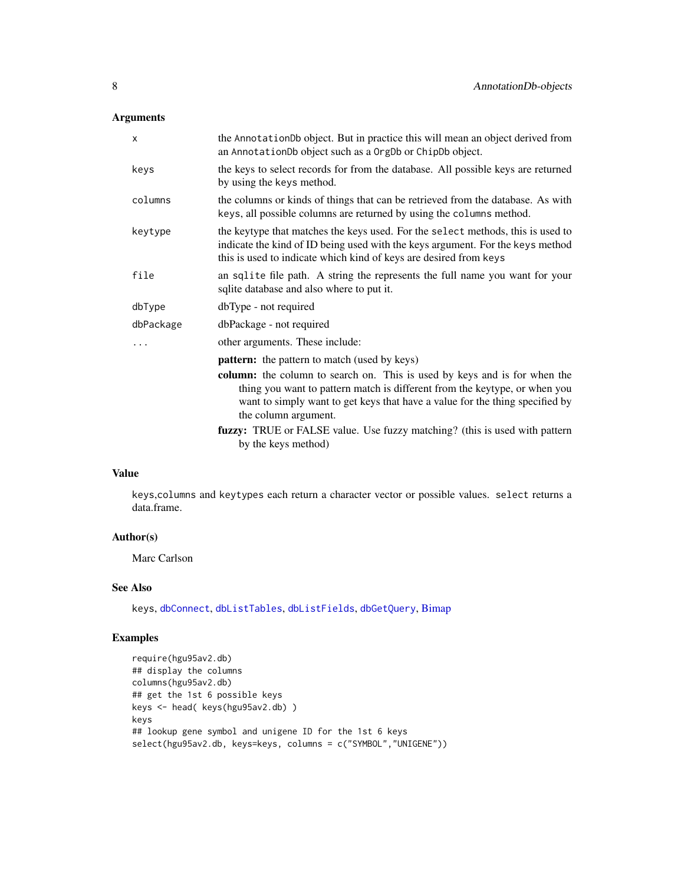# Arguments

| X         | the AnnotationDb object. But in practice this will mean an object derived from<br>an AnnotationDb object such as a OrgDb or ChipDb object.                                                                                                                      |
|-----------|-----------------------------------------------------------------------------------------------------------------------------------------------------------------------------------------------------------------------------------------------------------------|
| keys      | the keys to select records for from the database. All possible keys are returned<br>by using the keys method.                                                                                                                                                   |
| columns   | the columns or kinds of things that can be retrieved from the database. As with<br>keys, all possible columns are returned by using the columns method.                                                                                                         |
| keytype   | the keytype that matches the keys used. For the select methods, this is used to<br>indicate the kind of ID being used with the keys argument. For the keys method<br>this is used to indicate which kind of keys are desired from keys                          |
| file      | an sqlite file path. A string the represents the full name you want for your<br>sqlite database and also where to put it.                                                                                                                                       |
| dbType    | dbType - not required                                                                                                                                                                                                                                           |
| dbPackage | dbPackage - not required                                                                                                                                                                                                                                        |
|           | other arguments. These include:                                                                                                                                                                                                                                 |
|           | pattern: the pattern to match (used by keys)                                                                                                                                                                                                                    |
|           | column: the column to search on. This is used by keys and is for when the<br>thing you want to pattern match is different from the keytype, or when you<br>want to simply want to get keys that have a value for the thing specified by<br>the column argument. |
|           | fuzzy: TRUE or FALSE value. Use fuzzy matching? (this is used with pattern<br>by the keys method)                                                                                                                                                               |

# Value

keys,columns and keytypes each return a character vector or possible values. select returns a data.frame.

# Author(s)

Marc Carlson

# See Also

keys, [dbConnect](#page-0-0), [dbListTables](#page-0-0), [dbListFields](#page-0-0), [dbGetQuery](#page-0-0), [Bimap](#page-9-2)

# Examples

```
require(hgu95av2.db)
## display the columns
columns(hgu95av2.db)
## get the 1st 6 possible keys
keys <- head( keys(hgu95av2.db) )
keys
## lookup gene symbol and unigene ID for the 1st 6 keys
select(hgu95av2.db, keys=keys, columns = c("SYMBOL","UNIGENE"))
```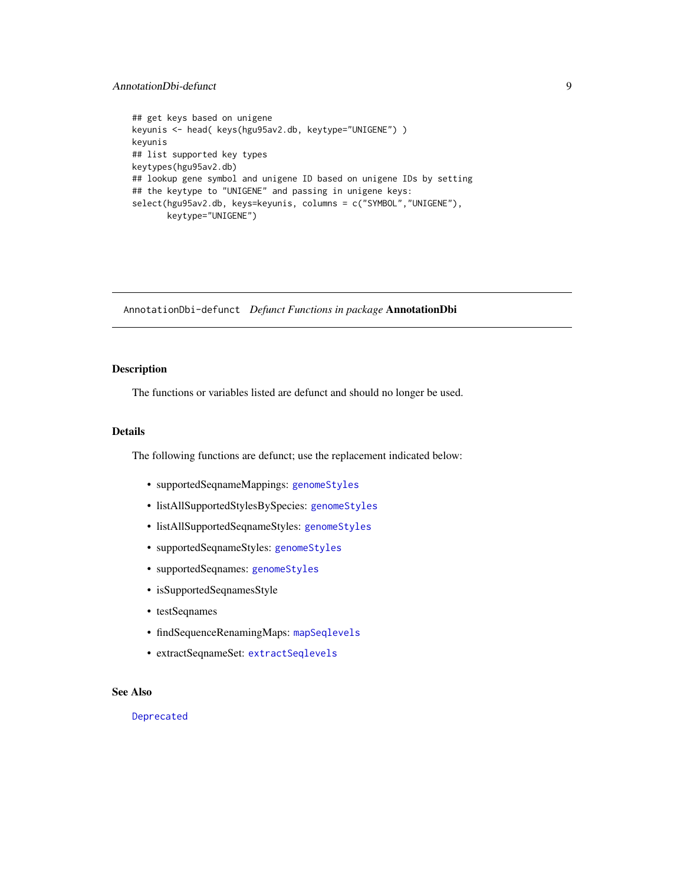# <span id="page-8-0"></span>AnnotationDbi-defunct 9

```
## get keys based on unigene
keyunis <- head( keys(hgu95av2.db, keytype="UNIGENE") )
keyunis
## list supported key types
keytypes(hgu95av2.db)
## lookup gene symbol and unigene ID based on unigene IDs by setting
## the keytype to "UNIGENE" and passing in unigene keys:
select(hgu95av2.db, keys=keyunis, columns = c("SYMBOL","UNIGENE"),
       keytype="UNIGENE")
```
AnnotationDbi-defunct *Defunct Functions in package* AnnotationDbi

# Description

The functions or variables listed are defunct and should no longer be used.

# Details

The following functions are defunct; use the replacement indicated below:

- supportedSeqnameMappings: [genomeStyles](#page-0-0)
- listAllSupportedStylesBySpecies: [genomeStyles](#page-0-0)
- listAllSupportedSeqnameStyles: [genomeStyles](#page-0-0)
- supportedSeqnameStyles: [genomeStyles](#page-0-0)
- supportedSeqnames: [genomeStyles](#page-0-0)
- isSupportedSeqnamesStyle
- testSeqnames
- findSequenceRenamingMaps: [mapSeqlevels](#page-0-0)
- extractSeqnameSet: [extractSeqlevels](#page-0-0)

# See Also

[Deprecated](#page-0-0)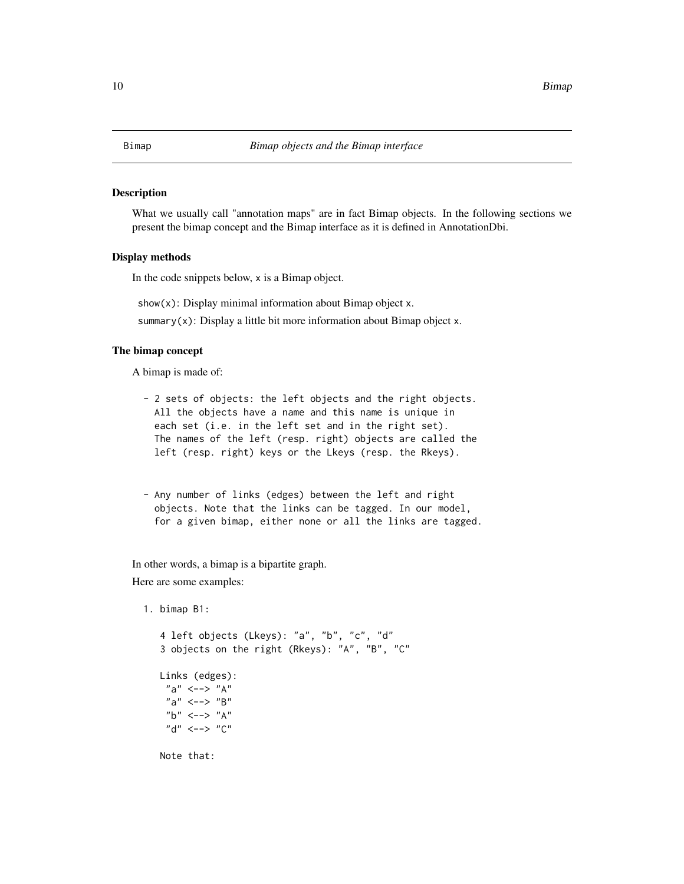#### <span id="page-9-2"></span><span id="page-9-1"></span><span id="page-9-0"></span>Description

What we usually call "annotation maps" are in fact Bimap objects. In the following sections we present the bimap concept and the Bimap interface as it is defined in AnnotationDbi.

# Display methods

In the code snippets below, x is a Bimap object.

 $show(x)$ : Display minimal information about Bimap object x.

summary( $x$ ): Display a little bit more information about Bimap object  $x$ .

#### The bimap concept

A bimap is made of:

- 2 sets of objects: the left objects and the right objects. All the objects have a name and this name is unique in each set (i.e. in the left set and in the right set). The names of the left (resp. right) objects are called the left (resp. right) keys or the Lkeys (resp. the Rkeys).
- Any number of links (edges) between the left and right objects. Note that the links can be tagged. In our model, for a given bimap, either none or all the links are tagged.

In other words, a bimap is a bipartite graph.

Here are some examples:

1. bimap B1:

```
4 left objects (Lkeys): "a", "b", "c", "d"
3 objects on the right (Rkeys): "A", "B", "C"
Links (edges):
 "a" \leftarrow-> "A"
 "a" < \to "B""b" \leftarrow-> "A"
 "d" < \to "C"Note that:
```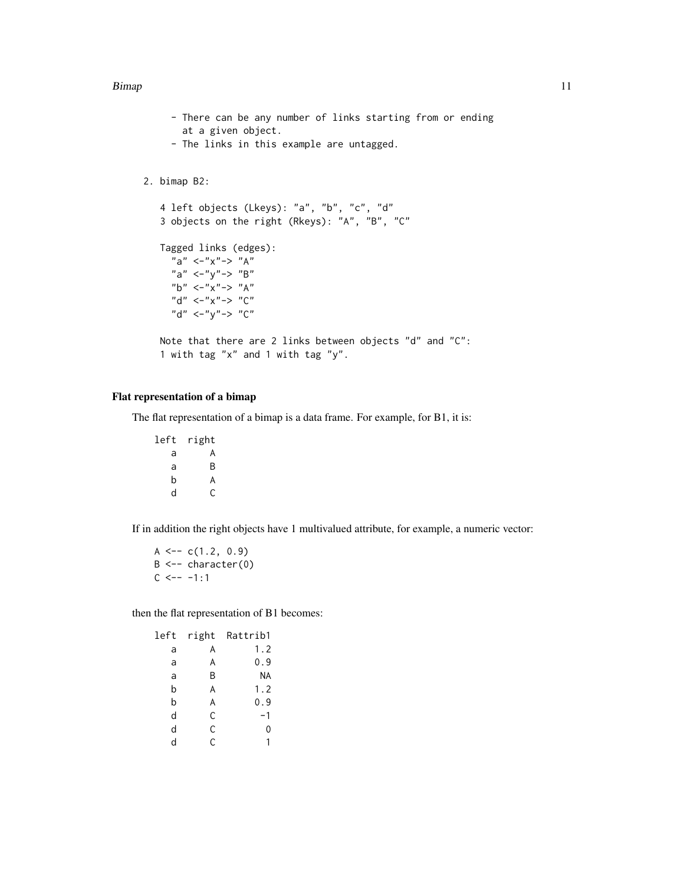#### Bimap 2012 11 and 2012 12:00 the state of the state of the state of the state of the state of the state of the state of the state of the state of the state of the state of the state of the state of the state of the state o

- There can be any number of links starting from or ending at a given object.
- The links in this example are untagged.

# 2. bimap B2:

```
4 left objects (Lkeys): "a", "b", "c", "d"
3 objects on the right (Rkeys): "A", "B", "C"
Tagged links (edges):
  "a" <^-"x"-> "A""a" \langle-"y"-> "B"
  "b" \langle-"x"-> "A"
  "d" \langle-"x"-> "C"
  "d" <^-"y"-> "C"Note that there are 2 links between objects "d" and "C":
```

```
1 with tag "x" and 1 with tag "y".
```
# Flat representation of a bimap

The flat representation of a bimap is a data frame. For example, for B1, it is:

left right a A a B b A d C

If in addition the right objects have 1 multivalued attribute, for example, a numeric vector:

 $A \leftarrow -c(1.2, 0.9)$  $B \leftarrow - \text{character}(0)$  $C$  <-- -1:1

then the flat representation of B1 becomes:

| left | right | Rattrib1  |
|------|-------|-----------|
| a    | A     | 1.2       |
| a    | A     | 0.9       |
| a    | В     | <b>NA</b> |
| b    | A     | 1.2       |
| b    | A     | 0.9       |
| d    | C     | $-1$      |
| d    | C     | 0         |
| d    | C     | 1         |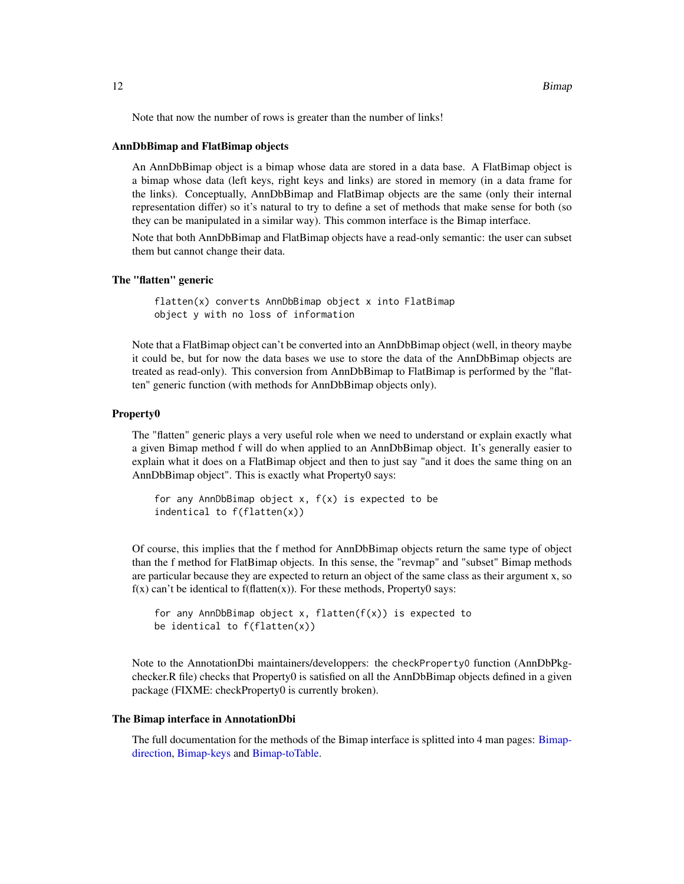Note that now the number of rows is greater than the number of links!

#### AnnDbBimap and FlatBimap objects

An AnnDbBimap object is a bimap whose data are stored in a data base. A FlatBimap object is a bimap whose data (left keys, right keys and links) are stored in memory (in a data frame for the links). Conceptually, AnnDbBimap and FlatBimap objects are the same (only their internal representation differ) so it's natural to try to define a set of methods that make sense for both (so they can be manipulated in a similar way). This common interface is the Bimap interface.

Note that both AnnDbBimap and FlatBimap objects have a read-only semantic: the user can subset them but cannot change their data.

#### The "flatten" generic

flatten(x) converts AnnDbBimap object x into FlatBimap object y with no loss of information

Note that a FlatBimap object can't be converted into an AnnDbBimap object (well, in theory maybe it could be, but for now the data bases we use to store the data of the AnnDbBimap objects are treated as read-only). This conversion from AnnDbBimap to FlatBimap is performed by the "flatten" generic function (with methods for AnnDbBimap objects only).

#### Property0

The "flatten" generic plays a very useful role when we need to understand or explain exactly what a given Bimap method f will do when applied to an AnnDbBimap object. It's generally easier to explain what it does on a FlatBimap object and then to just say "and it does the same thing on an AnnDbBimap object". This is exactly what Property0 says:

```
for any AnnDbBimap object x, f(x) is expected to be
indentical to f(flatten(x))
```
Of course, this implies that the f method for AnnDbBimap objects return the same type of object than the f method for FlatBimap objects. In this sense, the "revmap" and "subset" Bimap methods are particular because they are expected to return an object of the same class as their argument x, so  $f(x)$  can't be identical to  $f(f(x))$ . For these methods, Property0 says:

```
for any AnnDbBimap object x, flatten(f(x)) is expected to
be identical to f(flatten(x))
```
Note to the AnnotationDbi maintainers/developpers: the checkProperty0 function (AnnDbPkgchecker.R file) checks that Property0 is satisfied on all the AnnDbBimap objects defined in a given package (FIXME: checkProperty0 is currently broken).

#### The Bimap interface in AnnotationDbi

The full documentation for the methods of the Bimap interface is splitted into 4 man pages: [Bimap](#page-12-1)[direction,](#page-12-1) [Bimap-keys](#page-17-1) and [Bimap-toTable.](#page-19-1)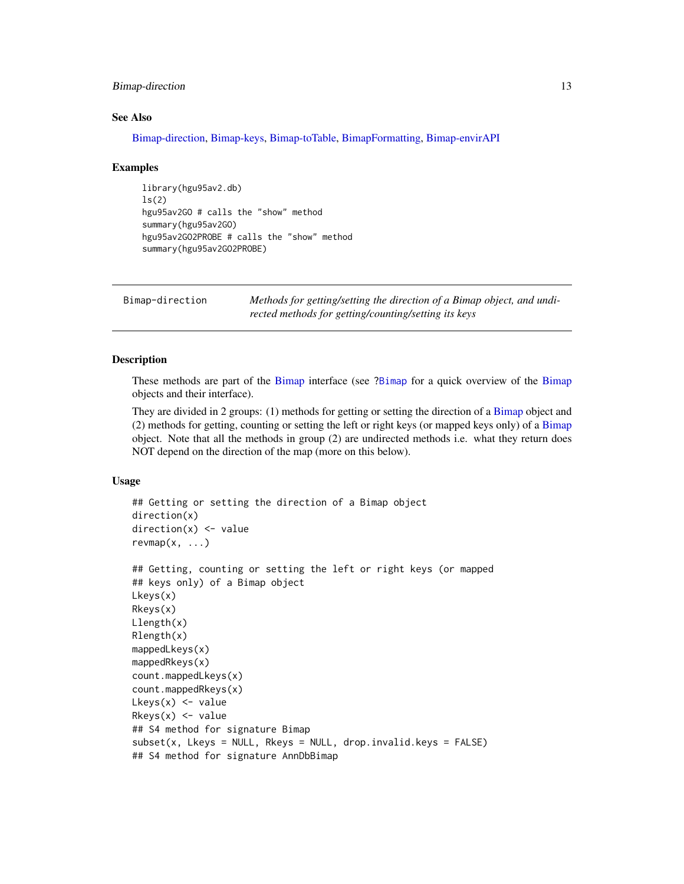# <span id="page-12-0"></span>Bimap-direction 13

#### See Also

[Bimap-direction,](#page-12-1) [Bimap-keys,](#page-17-1) [Bimap-toTable,](#page-19-1) [BimapFormatting,](#page-21-1) [Bimap-envirAPI](#page-15-1)

#### Examples

```
library(hgu95av2.db)
ls(2)hgu95av2GO # calls the "show" method
summary(hgu95av2GO)
hgu95av2GO2PROBE # calls the "show" method
summary(hgu95av2GO2PROBE)
```
<span id="page-12-1"></span>Bimap-direction *Methods for getting/setting the direction of a Bimap object, and undirected methods for getting/counting/setting its keys*

# <span id="page-12-2"></span>Description

These methods are part of the [Bimap](#page-9-2) interface (see [?Bimap](#page-9-2) for a quick overview of the [Bimap](#page-9-2) objects and their interface).

They are divided in 2 groups: (1) methods for getting or setting the direction of a [Bimap](#page-9-2) object and (2) methods for getting, counting or setting the left or right keys (or mapped keys only) of a [Bimap](#page-9-2) object. Note that all the methods in group (2) are undirected methods i.e. what they return does NOT depend on the direction of the map (more on this below).

# Usage

```
## Getting or setting the direction of a Bimap object
direction(x)
direction(x) < - valuerevmap(x, \ldots)## Getting, counting or setting the left or right keys (or mapped
## keys only) of a Bimap object
Lkeys(x)
Rkeys(x)
Llength(x)
Rlength(x)
mappedLkeys(x)
mappedRkeys(x)
count.mappedLkeys(x)
count.mappedRkeys(x)
Lkeys(x) <- value
Rkeys(x) <- value
## S4 method for signature Bimap
subset(x, Lkeys = NULL, Rkeys = NULL, drop.invalid.keys = FALSE)## S4 method for signature AnnDbBimap
```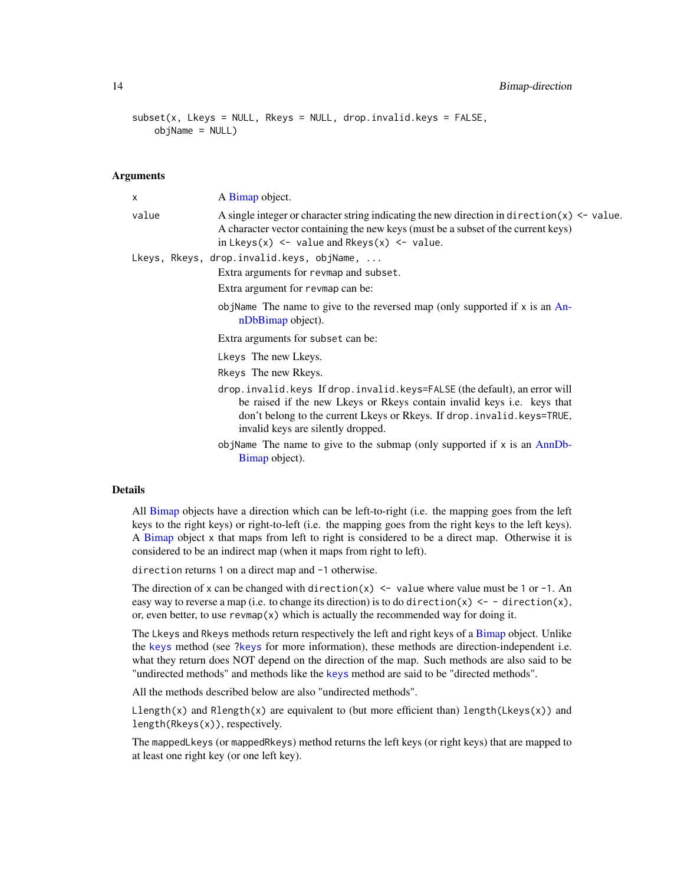14 **Bimap-direction** 

```
subset(x, Lkeys = NULL, Rkeys = NULL, drop.invalid.keys = FALSE,objName = NULL)
```
#### Arguments

| X     | A Bimap object.                                                                                                                                                                                                                                                            |
|-------|----------------------------------------------------------------------------------------------------------------------------------------------------------------------------------------------------------------------------------------------------------------------------|
| value | A single integer or character string indicating the new direction in direction( $x$ ) <- value.<br>A character vector containing the new keys (must be a subset of the current keys)<br>in $Lkeys(x)$ <- value and $Rkeys(x)$ <- value.                                    |
|       | Lkeys, Rkeys, drop.invalid.keys, objName,                                                                                                                                                                                                                                  |
|       | Extra arguments for revmap and subset.                                                                                                                                                                                                                                     |
|       | Extra argument for revmap can be:                                                                                                                                                                                                                                          |
|       | objName The name to give to the reversed map (only supported if $x$ is an An-<br>nDbBimap object).                                                                                                                                                                         |
|       | Extra arguments for subset can be:                                                                                                                                                                                                                                         |
|       | Lkeys The new Lkeys.                                                                                                                                                                                                                                                       |
|       | Rkeys The new Rkeys.                                                                                                                                                                                                                                                       |
|       | drop.invalid.keys If drop.invalid.keys=FALSE (the default), an error will<br>be raised if the new Likeys or Richards contain invalid keys i.e. keys that<br>don't belong to the current Lkeys or Rkeys. If drop. invalid. keys=TRUE,<br>invalid keys are silently dropped. |
|       | objName The name to give to the submap (only supported if $x$ is an AnnDb-<br>Bimap object).                                                                                                                                                                               |
|       |                                                                                                                                                                                                                                                                            |

# Details

All [Bimap](#page-9-2) objects have a direction which can be left-to-right (i.e. the mapping goes from the left keys to the right keys) or right-to-left (i.e. the mapping goes from the right keys to the left keys). A [Bimap](#page-9-2) object x that maps from left to right is considered to be a direct map. Otherwise it is considered to be an indirect map (when it maps from right to left).

direction returns 1 on a direct map and -1 otherwise.

The direction of x can be changed with direction(x)  $\le$  value where value must be 1 or -1. An easy way to reverse a map (i.e. to change its direction) is to do direction(x)  $\le -$  direction(x), or, even better, to use  $\mathsf{revmap}(x)$  which is actually the recommended way for doing it.

The Lkeys and Rkeys methods return respectively the left and right keys of a [Bimap](#page-9-2) object. Unlike the [keys](#page-6-1) method (see [?keys](#page-6-1) for more information), these methods are direction-independent i.e. what they return does NOT depend on the direction of the map. Such methods are also said to be "undirected methods" and methods like the [keys](#page-6-1) method are said to be "directed methods".

All the methods described below are also "undirected methods".

 $Llength(x)$  and  $Rlength(x)$  are equivalent to (but more efficient than) length(Lkeys(x)) and length(Rkeys(x)), respectively.

The mappedLkeys (or mappedRkeys) method returns the left keys (or right keys) that are mapped to at least one right key (or one left key).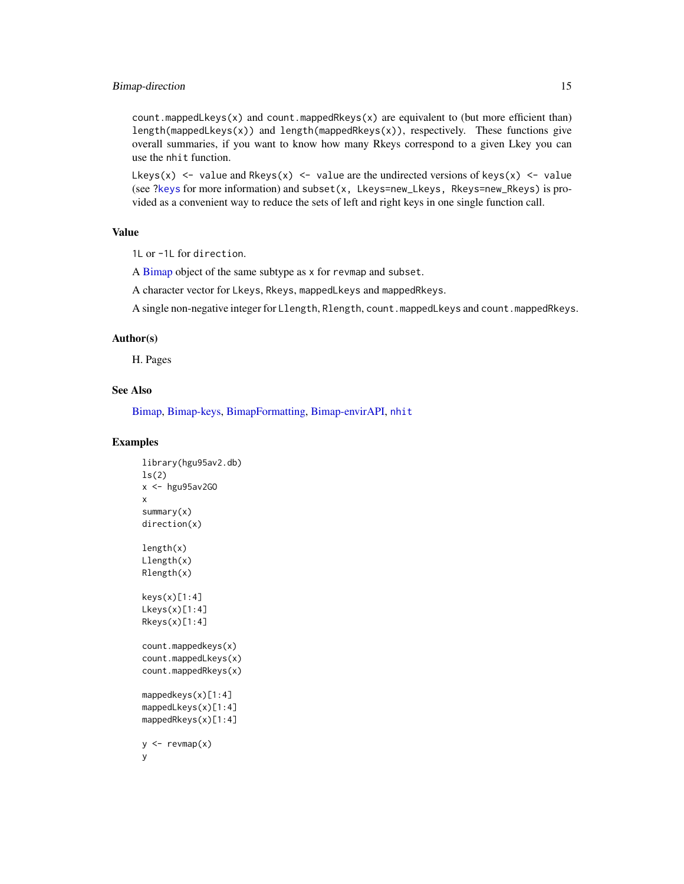# Bimap-direction 15

count.mappedLkeys(x) and count.mappedRkeys(x) are equivalent to (but more efficient than) length(mappedLkeys(x)) and length(mappedRkeys(x)), respectively. These functions give overall summaries, if you want to know how many Rkeys correspond to a given Lkey you can use the nhit function.

Lkeys(x)  $\le$  value and Rkeys(x)  $\le$  value are the undirected versions of keys(x)  $\le$  value (see [?keys](#page-6-1) for more information) and subset(x, Lkeys=new\_Lkeys, Rkeys=new\_Rkeys) is provided as a convenient way to reduce the sets of left and right keys in one single function call.

# Value

1L or -1L for direction.

A [Bimap](#page-9-2) object of the same subtype as x for revmap and subset.

A character vector for Lkeys, Rkeys, mappedLkeys and mappedRkeys.

A single non-negative integer for Llength, Rlength, count.mappedLkeys and count.mappedRkeys.

#### Author(s)

H. Pages

# See Also

[Bimap,](#page-9-2) [Bimap-keys,](#page-17-1) [BimapFormatting,](#page-21-1) [Bimap-envirAPI,](#page-15-1) [nhit](#page-19-2)

# Examples

```
library(hgu95av2.db)
ls(2)x <- hgu95av2GO
x
summary(x)
direction(x)
length(x)
Llength(x)
Rlength(x)
keys(x)[1:4]
Lkeys(x)[1:4]
Rkeys(x)[1:4]
count.mappedkeys(x)
count.mappedLkeys(x)
count.mappedRkeys(x)
mappedkeys(x)[1:4]
mappedLkeys(x)[1:4]
mappedRkeys(x)[1:4]
y \leftarrow \text{revmap}(x)y
```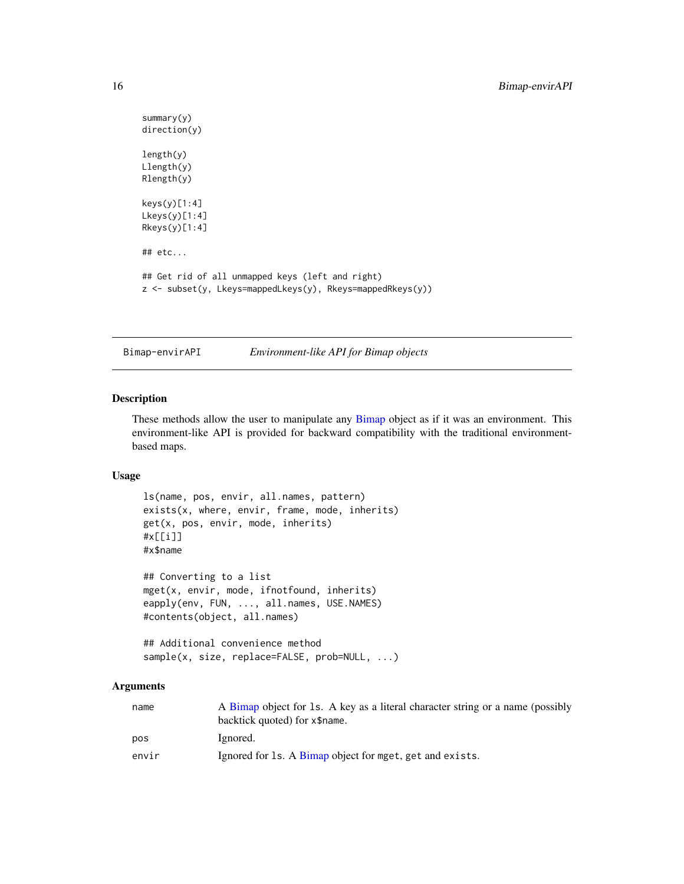```
summary(y)
direction(y)
length(y)
Llength(y)
Rlength(y)
keys(y)[1:4]
Lkeys(y)[1:4]
Rkeys(y)[1:4]
## etc...
## Get rid of all unmapped keys (left and right)
z <- subset(y, Lkeys=mappedLkeys(y), Rkeys=mappedRkeys(y))
```
<span id="page-15-1"></span>

Bimap-envirAPI *Environment-like API for Bimap objects*

# <span id="page-15-2"></span>Description

These methods allow the user to manipulate any [Bimap](#page-9-2) object as if it was an environment. This environment-like API is provided for backward compatibility with the traditional environmentbased maps.

# Usage

```
ls(name, pos, envir, all.names, pattern)
exists(x, where, envir, frame, mode, inherits)
get(x, pos, envir, mode, inherits)
#x[[i]]
#x$name
## Converting to a list
mget(x, envir, mode, ifnotfound, inherits)
eapply(env, FUN, ..., all.names, USE.NAMES)
#contents(object, all.names)
## Additional convenience method
sample(x, size, replace=FALSE, prob=NULL, ...)
```
# Arguments

| name  | A Bimap object for 1s. A key as a literal character string or a name (possibly<br>backtick quoted) for x\$name. |
|-------|-----------------------------------------------------------------------------------------------------------------|
| pos   | Ignored.                                                                                                        |
| envir | Ignored for 1s. A Bimap object for mget, get and exists.                                                        |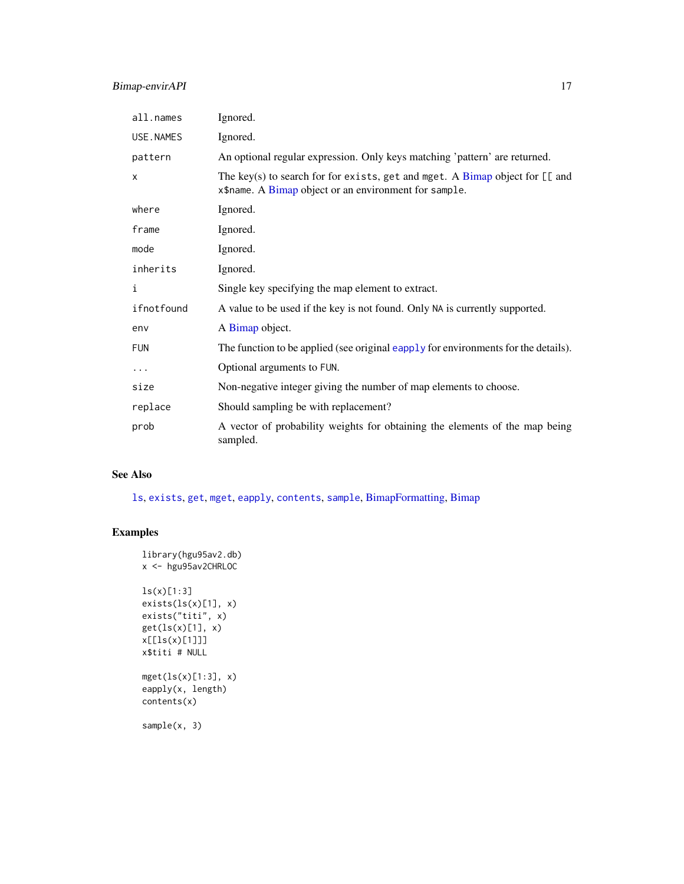| all.names    | Ignored.                                                                                                                                     |
|--------------|----------------------------------------------------------------------------------------------------------------------------------------------|
| USE.NAMES    | Ignored.                                                                                                                                     |
| pattern      | An optional regular expression. Only keys matching 'pattern' are returned.                                                                   |
| $\mathsf{x}$ | The key(s) to search for for exists, get and mget. A Bimap object for $[\lceil$ and<br>x\$name. A Bimap object or an environment for sample. |
| where        | Ignored.                                                                                                                                     |
| frame        | Ignored.                                                                                                                                     |
| mode         | Ignored.                                                                                                                                     |
| inherits     | Ignored.                                                                                                                                     |
| i            | Single key specifying the map element to extract.                                                                                            |
| ifnotfound   | A value to be used if the key is not found. Only NA is currently supported.                                                                  |
| env          | A Bimap object.                                                                                                                              |
| <b>FUN</b>   | The function to be applied (see original eapply for environments for the details).                                                           |
| $\cdots$     | Optional arguments to FUN.                                                                                                                   |
| size         | Non-negative integer giving the number of map elements to choose.                                                                            |
| replace      | Should sampling be with replacement?                                                                                                         |
| prob         | A vector of probability weights for obtaining the elements of the map being<br>sampled.                                                      |

# See Also

[ls](#page-15-2), [exists](#page-15-2), [get](#page-15-2), [mget](#page-15-2), [eapply](#page-15-2), [contents](#page-0-0), [sample](#page-15-2), [BimapFormatting,](#page-21-1) [Bimap](#page-9-2)

# Examples

```
library(hgu95av2.db)
x <- hgu95av2CHRLOC
ls(x)[1:3]
exists(ls(x)[1], x)
exists("titi", x)
get(ls(x)[1], x)
x[[ls(x)[1]]]
x$titi # NULL
mget(ls(x)[1:3], x)
eapply(x, length)
contents(x)
sample(x, 3)
```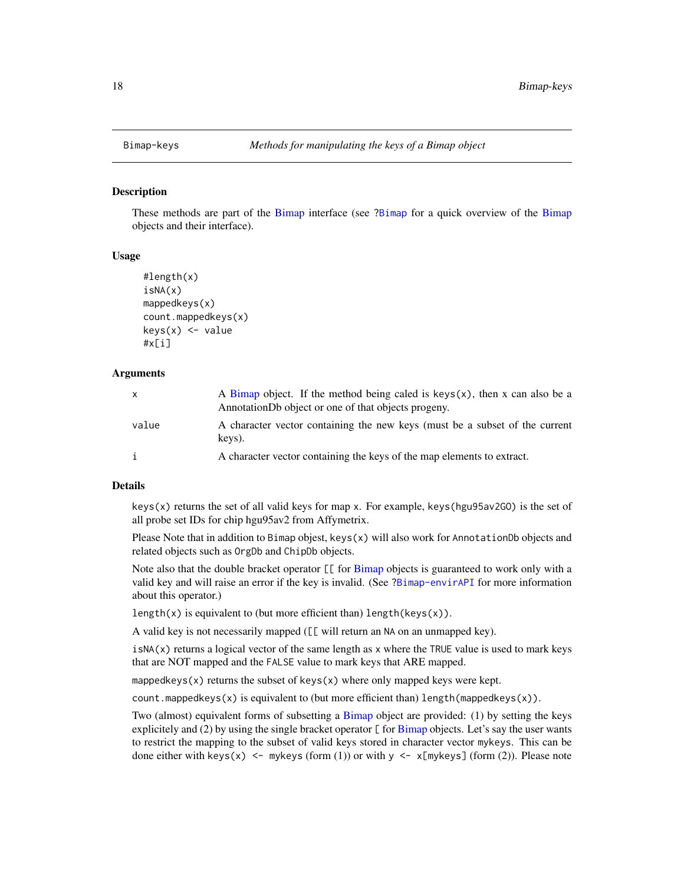<span id="page-17-1"></span><span id="page-17-0"></span>

#### Description

These methods are part of the [Bimap](#page-9-2) interface (see [?Bimap](#page-9-2) for a quick overview of the [Bimap](#page-9-2) objects and their interface).

# Usage

```
#length(x)
isNA(x)
mappedkeys(x)
count.mappedkeys(x)
keys(x) <- value
#x[i]
```
#### Arguments

| $\mathsf{X}$ | A Bimap object. If the method being caled is keys $(x)$ , then x can also be a<br>AnnotationDb object or one of that objects progeny. |
|--------------|---------------------------------------------------------------------------------------------------------------------------------------|
| value        | A character vector containing the new keys (must be a subset of the current<br>kevs).                                                 |
|              | A character vector containing the keys of the map elements to extract.                                                                |

#### Details

 $k$ eys(x) returns the set of all valid keys for map x. For example, keys(hgu95av2GO) is the set of all probe set IDs for chip hgu95av2 from Affymetrix.

Please Note that in addition to Bimap objest, keys(x) will also work for AnnotationDb objects and related objects such as OrgDb and ChipDb objects.

Note also that the double bracket operator  $[\![$  for  $\vec{B}$  imap objects is guaranteed to work only with a valid key and will raise an error if the key is invalid. (See [?Bimap-envirAPI](#page-15-1) for more information about this operator.)

length(x) is equivalent to (but more efficient than) length(keys(x)).

A valid key is not necessarily mapped ([[ will return an NA on an unmapped key).

 $i$ sNA $(x)$  returns a logical vector of the same length as x where the TRUE value is used to mark keys that are NOT mapped and the FALSE value to mark keys that ARE mapped.

mappedkeys(x) returns the subset of keys(x) where only mapped keys were kept.

count.mappedkeys $(x)$  is equivalent to (but more efficient than) length(mappedkeys $(x)$ ).

Two (almost) equivalent forms of subsetting a [Bimap](#page-9-2) object are provided: (1) by setting the keys explicitely and (2) by using the single bracket operator  $[$  for [Bimap](#page-9-2) objects. Let's say the user wants to restrict the mapping to the subset of valid keys stored in character vector mykeys. This can be done either with keys(x) <- mykeys (form (1)) or with  $y \le x$  [mykeys] (form (2)). Please note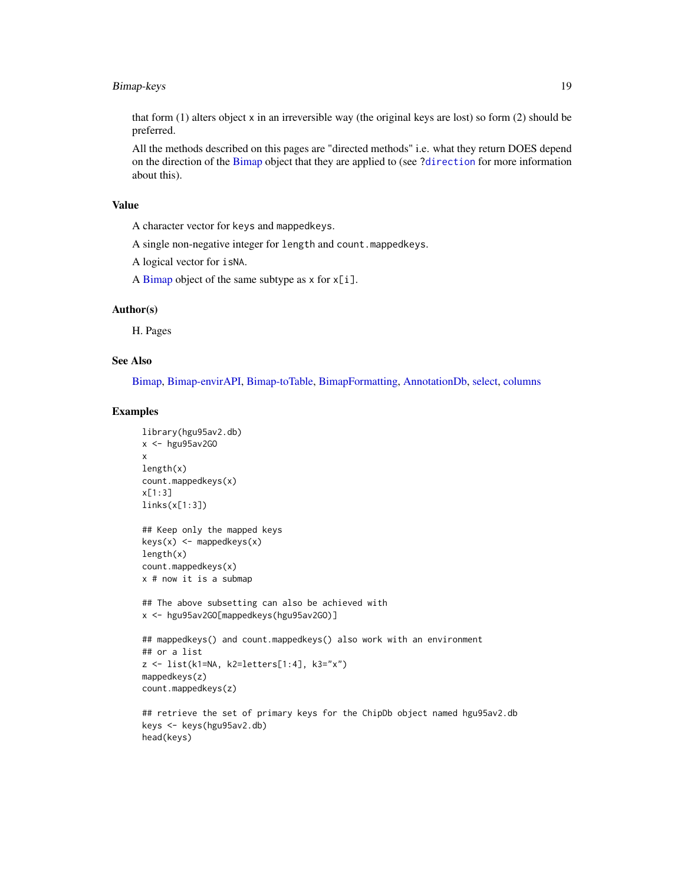# Bimap-keys 19

that form (1) alters object x in an irreversible way (the original keys are lost) so form (2) should be preferred.

All the methods described on this pages are "directed methods" i.e. what they return DOES depend on the direction of the [Bimap](#page-9-2) object that they are applied to (see [?direction](#page-12-2) for more information about this).

# Value

A character vector for keys and mappedkeys.

A single non-negative integer for length and count.mappedkeys.

A logical vector for isNA.

A [Bimap](#page-9-2) object of the same subtype as  $x$  for  $x[i]$ .

#### Author(s)

H. Pages

# See Also

[Bimap,](#page-9-2) [Bimap-envirAPI,](#page-15-1) [Bimap-toTable,](#page-19-1) [BimapFormatting,](#page-21-1) [AnnotationDb,](#page-6-1) [select,](#page-6-1) [columns](#page-6-1)

# Examples

```
library(hgu95av2.db)
x <- hgu95av2GO
x
length(x)
count.mappedkeys(x)
x[1:3]
links(x[1:3])
## Keep only the mapped keys
keys(x) \le mappedkeys(x)length(x)
count.mappedkeys(x)
x # now it is a submap
## The above subsetting can also be achieved with
x <- hgu95av2GO[mappedkeys(hgu95av2GO)]
## mappedkeys() and count.mappedkeys() also work with an environment
## or a list
z <- list(k1=NA, k2=letters[1:4], k3="x")
mappedkeys(z)
count.mappedkeys(z)
## retrieve the set of primary keys for the ChipDb object named hgu95av2.db
keys <- keys(hgu95av2.db)
head(keys)
```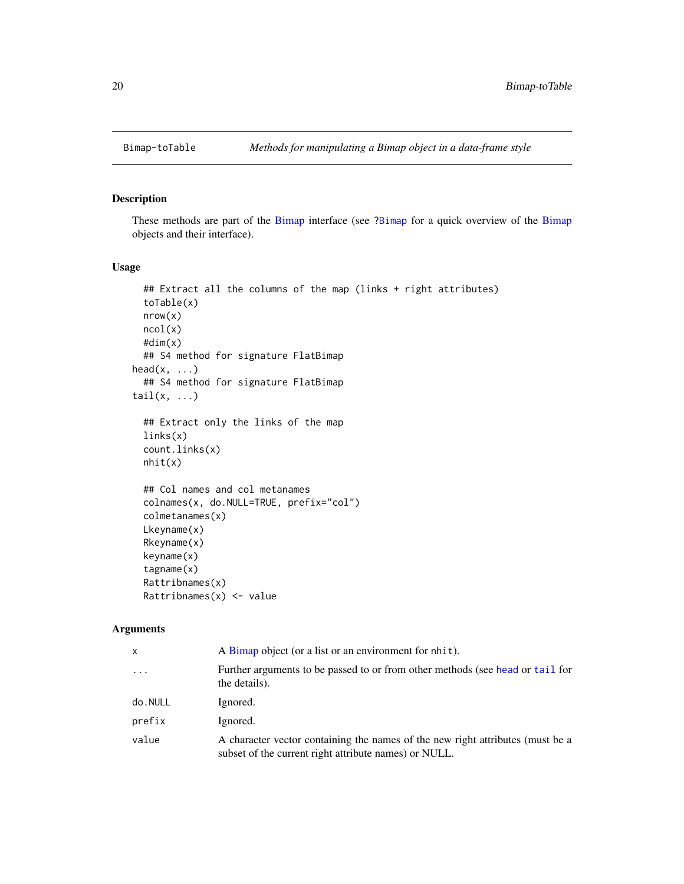<span id="page-19-1"></span><span id="page-19-0"></span>

# <span id="page-19-2"></span>Description

These methods are part of the [Bimap](#page-9-2) interface (see [?Bimap](#page-9-2) for a quick overview of the [Bimap](#page-9-2) objects and their interface).

# Usage

```
## Extract all the columns of the map (links + right attributes)
  toTable(x)
 nrow(x)
 ncol(x)
  #dim(x)
  ## S4 method for signature FlatBimap
head(x, \ldots)## S4 method for signature FlatBimap
tail(x, \ldots)## Extract only the links of the map
  links(x)
  count.links(x)
  nhit(x)
  ## Col names and col metanames
  colnames(x, do.NULL=TRUE, prefix="col")
  colmetanames(x)
 Lkeyname(x)
  Rkeyname(x)
  keyname(x)
  tagname(x)
  Rattribnames(x)
 Rattribnames(x) <- value
```
# Arguments

| $\mathsf{x}$      | A Bimap object (or a list or an environment for nhit).                                                                                  |
|-------------------|-----------------------------------------------------------------------------------------------------------------------------------------|
| $\cdot\cdot\cdot$ | Further arguments to be passed to or from other methods (see head or tail for<br>the details).                                          |
| do.NULL           | Ignored.                                                                                                                                |
| prefix            | Ignored.                                                                                                                                |
| value             | A character vector containing the names of the new right attributes (must be a<br>subset of the current right attribute names) or NULL. |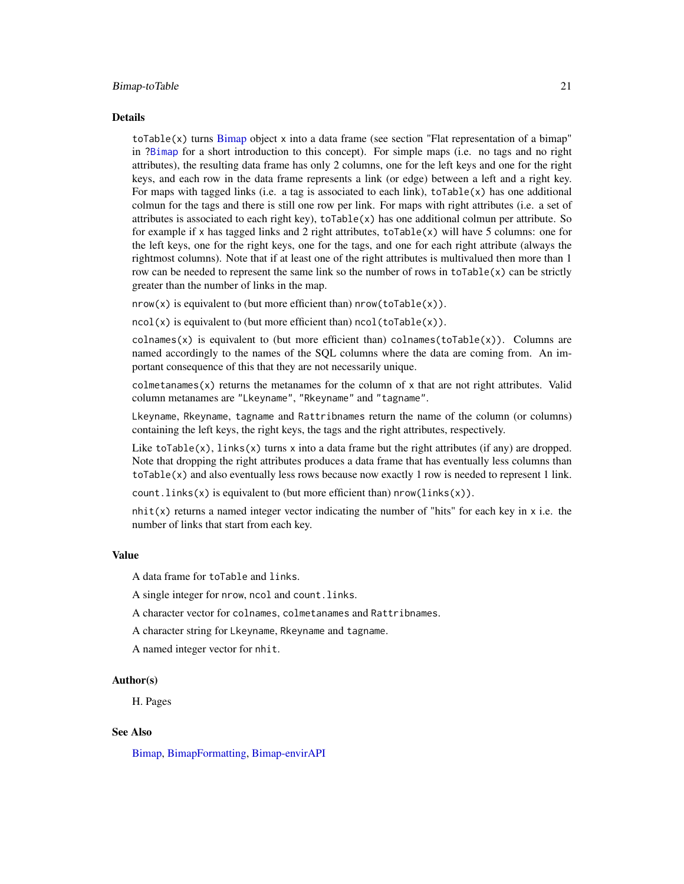#### Bimap-toTable 21

#### Details

toTable(x) turns [Bimap](#page-9-2) object x into a data frame (see section "Flat representation of a bimap" in [?Bimap](#page-9-2) for a short introduction to this concept). For simple maps (i.e. no tags and no right attributes), the resulting data frame has only 2 columns, one for the left keys and one for the right keys, and each row in the data frame represents a link (or edge) between a left and a right key. For maps with tagged links (i.e. a tag is associated to each link),  $toTable(x)$  has one additional colmun for the tags and there is still one row per link. For maps with right attributes (i.e. a set of attributes is associated to each right key),  $\text{toTable}(x)$  has one additional colmun per attribute. So for example if x has tagged links and 2 right attributes,  $to$  Table(x) will have 5 columns: one for the left keys, one for the right keys, one for the tags, and one for each right attribute (always the rightmost columns). Note that if at least one of the right attributes is multivalued then more than 1 row can be needed to represent the same link so the number of rows in  $to$ Table $(x)$  can be strictly greater than the number of links in the map.

 $nrow(x)$  is equivalent to (but more efficient than)  $nrow(toTable(x))$ .

 $ncol(x)$  is equivalent to (but more efficient than)  $ncol(toTable(x))$ .

colnames(x) is equivalent to (but more efficient than) colnames(toTable(x)). Columns are named accordingly to the names of the SQL columns where the data are coming from. An important consequence of this that they are not necessarily unique.

colmetanames $(x)$  returns the metanames for the column of x that are not right attributes. Valid column metanames are "Lkeyname", "Rkeyname" and "tagname".

Lkeyname, Rkeyname, tagname and Rattribnames return the name of the column (or columns) containing the left keys, the right keys, the tags and the right attributes, respectively.

Like toTable(x), links(x) turns x into a data frame but the right attributes (if any) are dropped. Note that dropping the right attributes produces a data frame that has eventually less columns than toTable(x) and also eventually less rows because now exactly 1 row is needed to represent 1 link.

count.links(x) is equivalent to (but more efficient than)  $nrow(links(x))$ .

 $n$ hit(x) returns a named integer vector indicating the number of "hits" for each key in x i.e. the number of links that start from each key.

#### Value

A data frame for toTable and links.

A single integer for nrow, ncol and count.links.

A character vector for colnames, colmetanames and Rattribnames.

A character string for Lkeyname, Rkeyname and tagname.

A named integer vector for nhit.

#### Author(s)

H. Pages

#### See Also

[Bimap,](#page-9-2) [BimapFormatting,](#page-21-1) [Bimap-envirAPI](#page-15-1)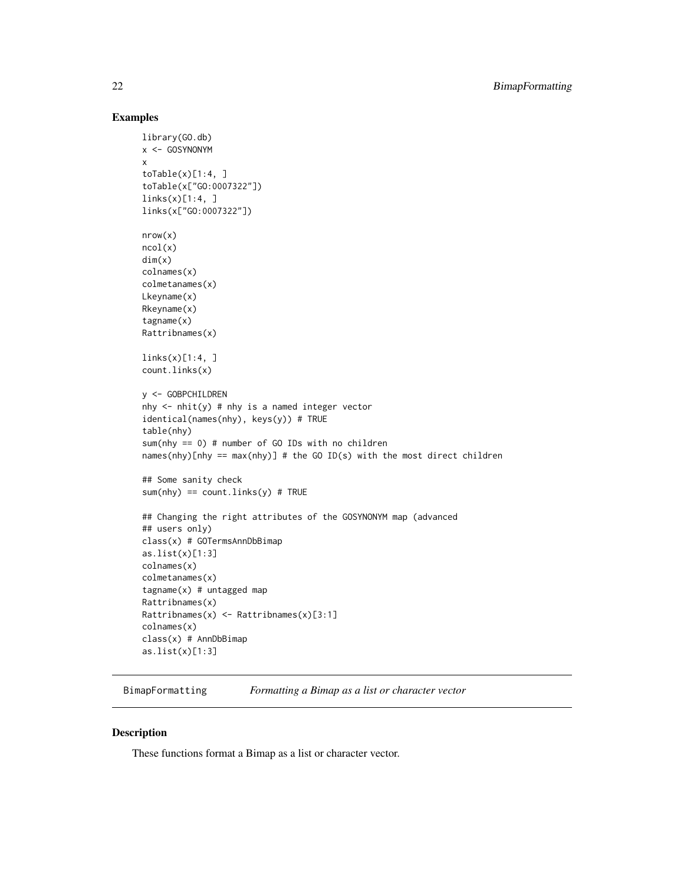# Examples

```
library(GO.db)
x <- GOSYNONYM
x
toTable(x)[1:4, ]toTable(x["GO:0007322"])
links(x)[1:4, ]links(x["GO:0007322"])
nrow(x)
ncol(x)
dim(x)
colnames(x)
colmetanames(x)
Lkeyname(x)
Rkeyname(x)
tagname(x)
Rattribnames(x)
links(x)[1:4, ]
count.links(x)
y <- GOBPCHILDREN
nhy \le- nhit(y) # nhy is a named integer vector
identical(names(nhy), keys(y)) # TRUE
table(nhy)
sum(nhy == 0) # number of GO IDs with no children
names(nhy)[nhy == max(nhy)] # the GO ID(s) with the most direct children
## Some sanity check
sum(nhy) == count.linalg(y) # TRUE## Changing the right attributes of the GOSYNONYM map (advanced
## users only)
class(x) # GOTermsAnnDbBimap
as.list(x)[1:3]
colnames(x)
colmetanames(x)
tagname(x) # untagged map
Rattribnames(x)
Rattribnames(x) <- Rattribnames(x)[3:1]
colnames(x)
class(x) # AnnDbBimap
as.list(x)[1:3]
```
<span id="page-21-1"></span>BimapFormatting *Formatting a Bimap as a list or character vector*

# Description

These functions format a Bimap as a list or character vector.

<span id="page-21-0"></span>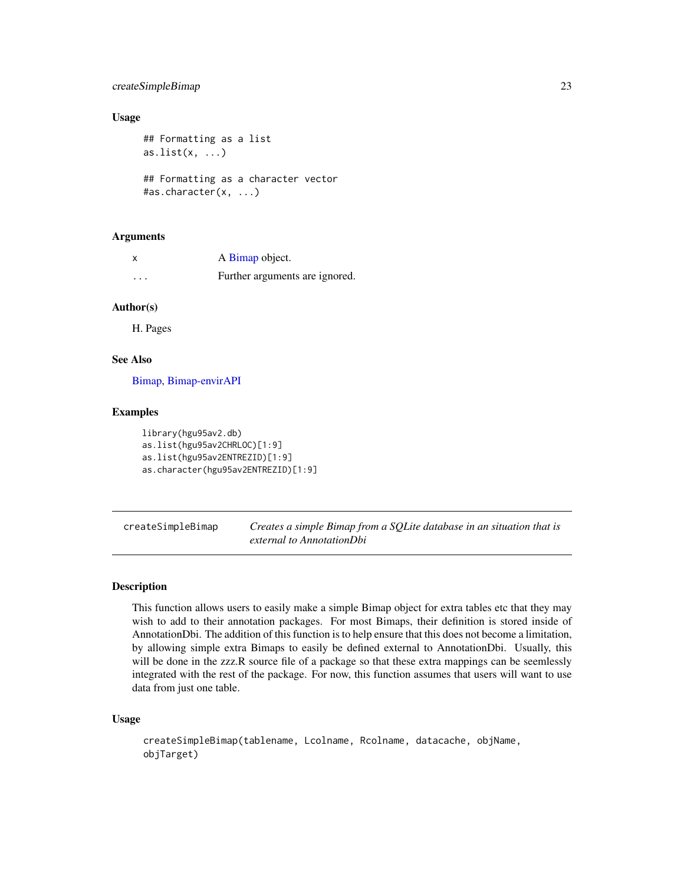# <span id="page-22-0"></span>createSimpleBimap 23

# Usage

```
## Formatting as a list
as.list(x, \ldots)## Formatting as a character vector
#as.character(x, ...)
```
# Arguments

|          | A Bimap object.                |
|----------|--------------------------------|
| $\cdots$ | Further arguments are ignored. |

# Author(s)

H. Pages

# See Also

[Bimap,](#page-9-2) [Bimap-envirAPI](#page-15-1)

# Examples

```
library(hgu95av2.db)
as.list(hgu95av2CHRLOC)[1:9]
as.list(hgu95av2ENTREZID)[1:9]
as.character(hgu95av2ENTREZID)[1:9]
```
createSimpleBimap *Creates a simple Bimap from a SQLite database in an situation that is external to AnnotationDbi*

# Description

This function allows users to easily make a simple Bimap object for extra tables etc that they may wish to add to their annotation packages. For most Bimaps, their definition is stored inside of AnnotationDbi. The addition of this function is to help ensure that this does not become a limitation, by allowing simple extra Bimaps to easily be defined external to AnnotationDbi. Usually, this will be done in the zzz.R source file of a package so that these extra mappings can be seemlessly integrated with the rest of the package. For now, this function assumes that users will want to use data from just one table.

# Usage

```
createSimpleBimap(tablename, Lcolname, Rcolname, datacache, objName,
objTarget)
```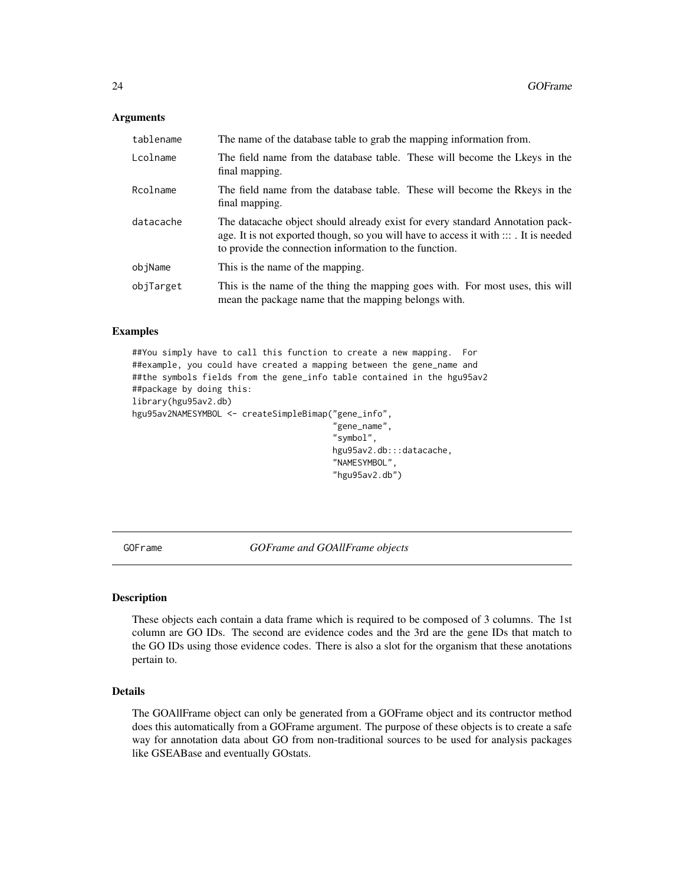# <span id="page-23-0"></span>**Arguments**

| tablename | The name of the database table to grab the mapping information from.                                                                                                                                                             |
|-----------|----------------------------------------------------------------------------------------------------------------------------------------------------------------------------------------------------------------------------------|
| Lcolname  | The field name from the database table. These will become the Lkeys in the<br>final mapping.                                                                                                                                     |
| Rcolname  | The field name from the database table. These will become the Rkeys in the<br>final mapping.                                                                                                                                     |
| datacache | The datacache object should already exist for every standard Annotation pack-<br>age. It is not exported though, so you will have to access it with $:::$ It is needed<br>to provide the connection information to the function. |
| objName   | This is the name of the mapping.                                                                                                                                                                                                 |
| objTarget | This is the name of the thing the mapping goes with. For most uses, this will<br>mean the package name that the mapping belongs with.                                                                                            |

# Examples

##You simply have to call this function to create a new mapping. For ##example, you could have created a mapping between the gene\_name and ##the symbols fields from the gene\_info table contained in the hgu95av2 ##package by doing this: library(hgu95av2.db) hgu95av2NAMESYMBOL <- createSimpleBimap("gene\_info", "gene\_name", "symbol", hgu95av2.db:::datacache, "NAMESYMBOL",

GOFrame *GOFrame and GOAllFrame objects*

#### Description

These objects each contain a data frame which is required to be composed of 3 columns. The 1st column are GO IDs. The second are evidence codes and the 3rd are the gene IDs that match to the GO IDs using those evidence codes. There is also a slot for the organism that these anotations pertain to.

"hgu95av2.db")

#### Details

The GOAllFrame object can only be generated from a GOFrame object and its contructor method does this automatically from a GOFrame argument. The purpose of these objects is to create a safe way for annotation data about GO from non-traditional sources to be used for analysis packages like GSEABase and eventually GOstats.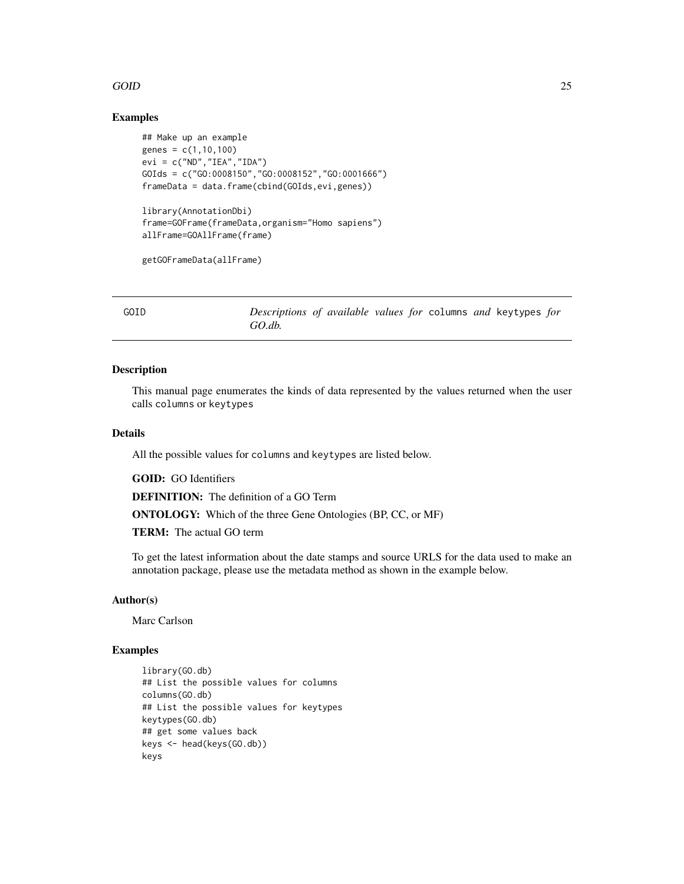# <span id="page-24-0"></span> $GOD$  25

# Examples

```
## Make up an example
genes = c(1, 10, 100)evi = c("ND", "IEA", "IDA")GOIds = c("GO:0008150","GO:0008152","GO:0001666")
frameData = data.frame(cbind(GOIds,evi,genes))
library(AnnotationDbi)
frame=GOFrame(frameData,organism="Homo sapiens")
allFrame=GOAllFrame(frame)
```
getGOFrameData(allFrame)

GOID *Descriptions of available values for* columns *and* keytypes *for GO.db.*

# Description

This manual page enumerates the kinds of data represented by the values returned when the user calls columns or keytypes

#### Details

All the possible values for columns and keytypes are listed below.

GOID: GO Identifiers

DEFINITION: The definition of a GO Term

ONTOLOGY: Which of the three Gene Ontologies (BP, CC, or MF)

TERM: The actual GO term

To get the latest information about the date stamps and source URLS for the data used to make an annotation package, please use the metadata method as shown in the example below.

#### Author(s)

Marc Carlson

# Examples

```
library(GO.db)
## List the possible values for columns
columns(GO.db)
## List the possible values for keytypes
keytypes(GO.db)
## get some values back
keys <- head(keys(GO.db))
keys
```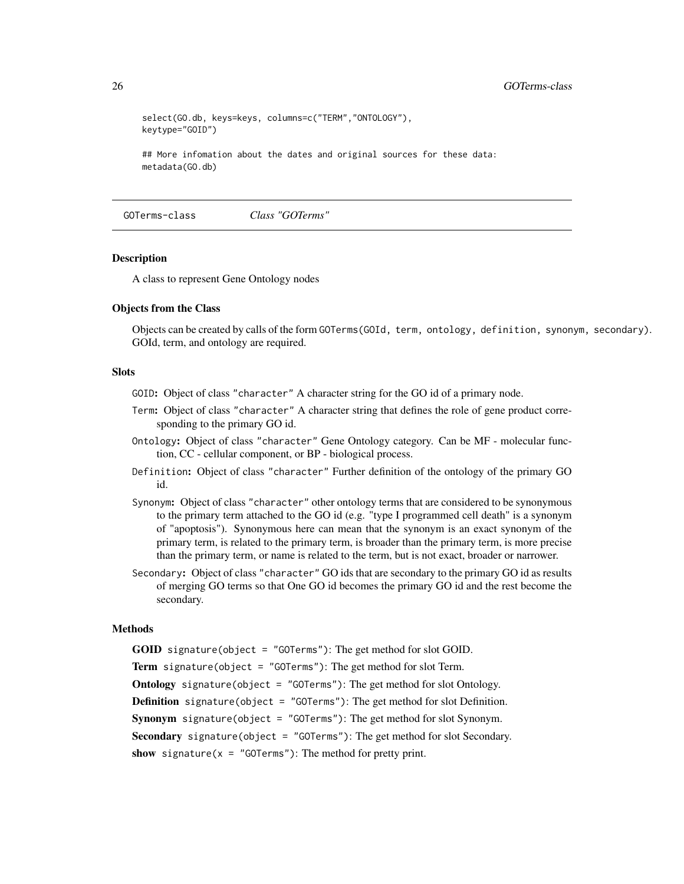```
select(GO.db, keys=keys, columns=c("TERM","ONTOLOGY"),
keytype="GOID")
## More infomation about the dates and original sources for these data:
metadata(GO.db)
```
GOTerms-class *Class "GOTerms"*

#### <span id="page-25-1"></span>Description

A class to represent Gene Ontology nodes

#### Objects from the Class

Objects can be created by calls of the form GOTerms(GOId, term, ontology, definition, synonym, secondary). GOId, term, and ontology are required.

#### **Slots**

- GOID: Object of class "character" A character string for the GO id of a primary node.
- Term: Object of class "character" A character string that defines the role of gene product corresponding to the primary GO id.
- Ontology: Object of class "character" Gene Ontology category. Can be MF molecular function, CC - cellular component, or BP - biological process.
- Definition: Object of class "character" Further definition of the ontology of the primary GO id.
- Synonym: Object of class "character" other ontology terms that are considered to be synonymous to the primary term attached to the GO id (e.g. "type I programmed cell death" is a synonym of "apoptosis"). Synonymous here can mean that the synonym is an exact synonym of the primary term, is related to the primary term, is broader than the primary term, is more precise than the primary term, or name is related to the term, but is not exact, broader or narrower.
- Secondary: Object of class "character" GO ids that are secondary to the primary GO id as results of merging GO terms so that One GO id becomes the primary GO id and the rest become the secondary.

#### Methods

GOID signature(object = "GOTerms"): The get method for slot GOID.

Term signature(object = "GOTerms"): The get method for slot Term.

Ontology signature(object = "GOTerms"): The get method for slot Ontology.

**Definition** signature(object = "GOTerms"): The get method for slot Definition.

Synonym signature(object = "GOTerms"): The get method for slot Synonym.

Secondary signature(object = "GOTerms"): The get method for slot Secondary.

show signature( $x = "GOTerms")$ : The method for pretty print.

<span id="page-25-0"></span>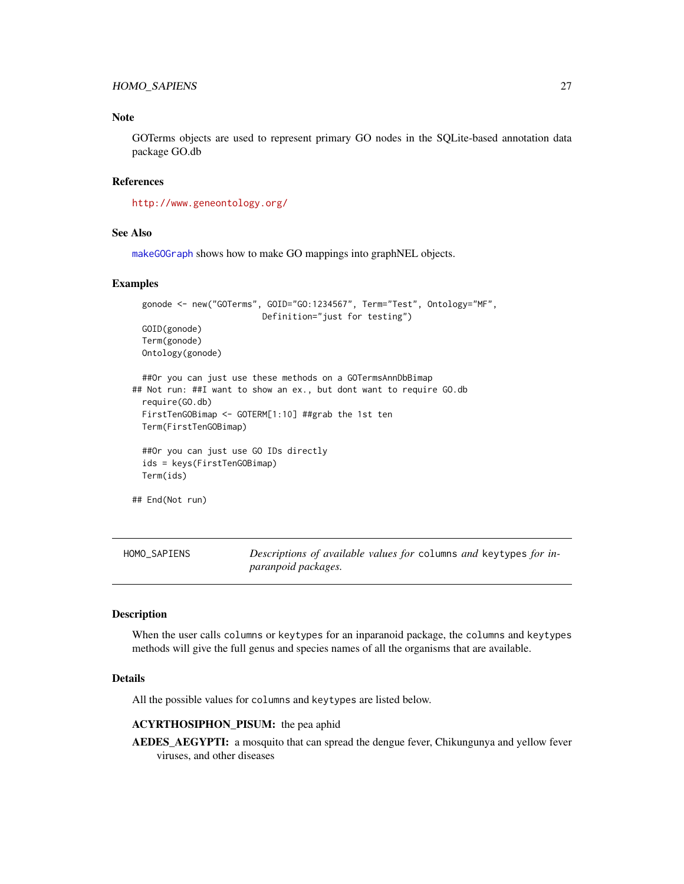# <span id="page-26-0"></span>HOMO\_SAPIENS 27

# Note

GOTerms objects are used to represent primary GO nodes in the SQLite-based annotation data package GO.db

# References

<http://www.geneontology.org/>

#### See Also

[makeGOGraph](#page-33-1) shows how to make GO mappings into graphNEL objects.

# Examples

```
gonode <- new("GOTerms", GOID="GO:1234567", Term="Test", Ontology="MF",
                         Definition="just for testing")
 GOID(gonode)
 Term(gonode)
 Ontology(gonode)
 ##Or you can just use these methods on a GOTermsAnnDbBimap
## Not run: ##I want to show an ex., but dont want to require GO.db
 require(GO.db)
 FirstTenGOBimap <- GOTERM[1:10] ##grab the 1st ten
 Term(FirstTenGOBimap)
 ##Or you can just use GO IDs directly
 ids = keys(FirstTenGOBimap)
 Term(ids)
## End(Not run)
```
HOMO\_SAPIENS *Descriptions of available values for* columns *and* keytypes *for inparanpoid packages.*

# Description

When the user calls columns or keytypes for an inparanoid package, the columns and keytypes methods will give the full genus and species names of all the organisms that are available.

#### Details

All the possible values for columns and keytypes are listed below.

# ACYRTHOSIPHON\_PISUM: the pea aphid

AEDES\_AEGYPTI: a mosquito that can spread the dengue fever, Chikungunya and yellow fever viruses, and other diseases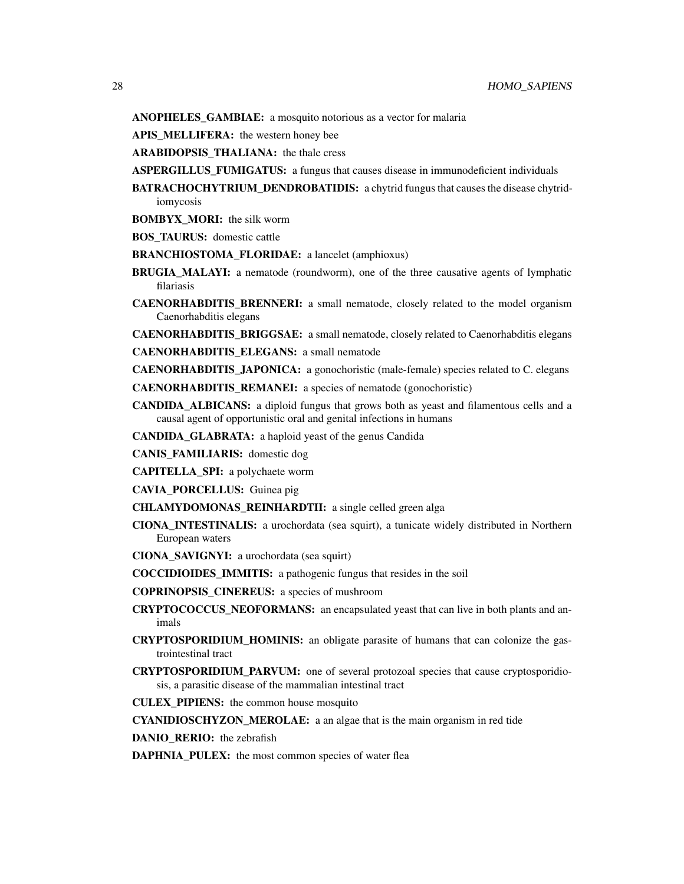ANOPHELES\_GAMBIAE: a mosquito notorious as a vector for malaria

APIS\_MELLIFERA: the western honey bee

ARABIDOPSIS THALIANA: the thale cress

- ASPERGILLUS\_FUMIGATUS: a fungus that causes disease in immunodeficient individuals
- BATRACHOCHYTRIUM\_DENDROBATIDIS: a chytrid fungus that causes the disease chytridiomycosis
- BOMBYX\_MORI: the silk worm

BOS\_TAURUS: domestic cattle

- BRANCHIOSTOMA\_FLORIDAE: a lancelet (amphioxus)
- BRUGIA\_MALAYI: a nematode (roundworm), one of the three causative agents of lymphatic filariasis
- **CAENORHABDITIS BRENNERI:** a small nematode, closely related to the model organism Caenorhabditis elegans

CAENORHABDITIS\_BRIGGSAE: a small nematode, closely related to Caenorhabditis elegans

CAENORHABDITIS\_ELEGANS: a small nematode

CAENORHABDITIS\_JAPONICA: a gonochoristic (male-female) species related to C. elegans

CAENORHABDITIS\_REMANEI: a species of nematode (gonochoristic)

CANDIDA\_ALBICANS: a diploid fungus that grows both as yeast and filamentous cells and a causal agent of opportunistic oral and genital infections in humans

CANDIDA\_GLABRATA: a haploid yeast of the genus Candida

CANIS\_FAMILIARIS: domestic dog

CAPITELLA\_SPI: a polychaete worm

CAVIA\_PORCELLUS: Guinea pig

CHLAMYDOMONAS\_REINHARDTII: a single celled green alga

- CIONA\_INTESTINALIS: a urochordata (sea squirt), a tunicate widely distributed in Northern European waters
- CIONA\_SAVIGNYI: a urochordata (sea squirt)
- COCCIDIOIDES\_IMMITIS: a pathogenic fungus that resides in the soil

COPRINOPSIS\_CINEREUS: a species of mushroom

- **CRYPTOCOCCUS NEOFORMANS:** an encapsulated yeast that can live in both plants and animals
- CRYPTOSPORIDIUM\_HOMINIS: an obligate parasite of humans that can colonize the gastrointestinal tract
- CRYPTOSPORIDIUM\_PARVUM: one of several protozoal species that cause cryptosporidiosis, a parasitic disease of the mammalian intestinal tract
- CULEX\_PIPIENS: the common house mosquito

CYANIDIOSCHYZON\_MEROLAE: a an algae that is the main organism in red tide

DANIO RERIO: the zebrafish

DAPHNIA\_PULEX: the most common species of water flea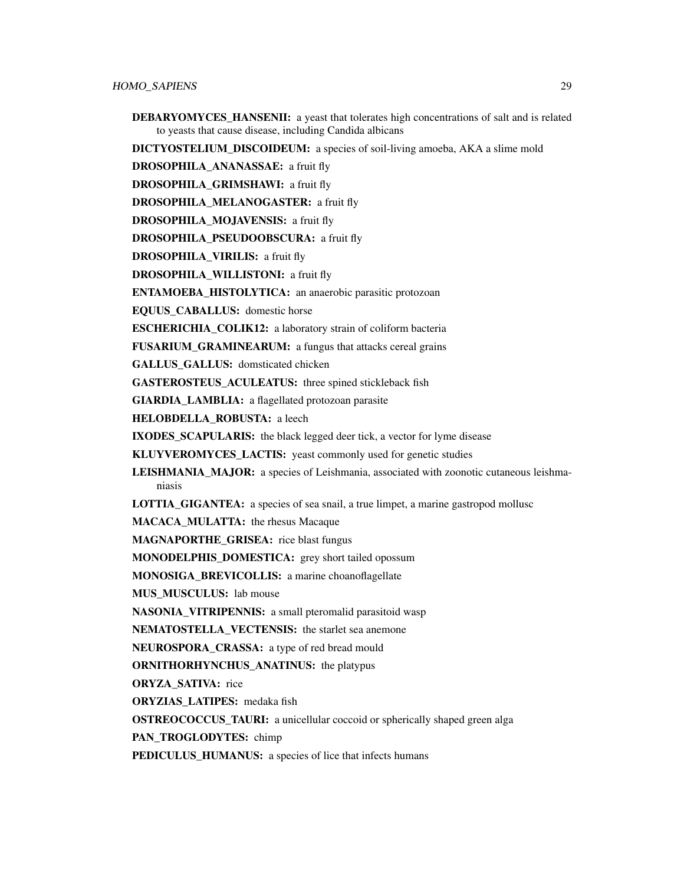DEBARYOMYCES\_HANSENII: a yeast that tolerates high concentrations of salt and is related to yeasts that cause disease, including Candida albicans

DICTYOSTELIUM\_DISCOIDEUM: a species of soil-living amoeba, AKA a slime mold

DROSOPHILA\_ANANASSAE: a fruit fly

DROSOPHILA\_GRIMSHAWI: a fruit fly

DROSOPHILA\_MELANOGASTER: a fruit fly

DROSOPHILA\_MOJAVENSIS: a fruit fly

DROSOPHILA\_PSEUDOOBSCURA: a fruit fly

DROSOPHILA\_VIRILIS: a fruit fly

DROSOPHILA\_WILLISTONI: a fruit fly

ENTAMOEBA\_HISTOLYTICA: an anaerobic parasitic protozoan

EQUUS\_CABALLUS: domestic horse

ESCHERICHIA\_COLIK12: a laboratory strain of coliform bacteria

FUSARIUM\_GRAMINEARUM: a fungus that attacks cereal grains

GALLUS GALLUS: domsticated chicken

GASTEROSTEUS ACULEATUS: three spined stickleback fish

GIARDIA LAMBLIA: a flagellated protozoan parasite

HELOBDELLA\_ROBUSTA: a leech

IXODES\_SCAPULARIS: the black legged deer tick, a vector for lyme disease

KLUYVEROMYCES\_LACTIS: yeast commonly used for genetic studies

LEISHMANIA\_MAJOR: a species of Leishmania, associated with zoonotic cutaneous leishmaniasis

LOTTIA\_GIGANTEA: a species of sea snail, a true limpet, a marine gastropod mollusc

MACACA\_MULATTA: the rhesus Macaque

MAGNAPORTHE\_GRISEA: rice blast fungus

MONODELPHIS\_DOMESTICA: grey short tailed opossum

MONOSIGA\_BREVICOLLIS: a marine choanoflagellate

MUS\_MUSCULUS: lab mouse

NASONIA\_VITRIPENNIS: a small pteromalid parasitoid wasp

NEMATOSTELLA\_VECTENSIS: the starlet sea anemone

NEUROSPORA\_CRASSA: a type of red bread mould

ORNITHORHYNCHUS\_ANATINUS: the platypus

ORYZA\_SATIVA: rice

ORYZIAS\_LATIPES: medaka fish

**OSTREOCOCCUS TAURI:** a unicellular coccoid or spherically shaped green alga

PAN\_TROGLODYTES: chimp

PEDICULUS\_HUMANUS: a species of lice that infects humans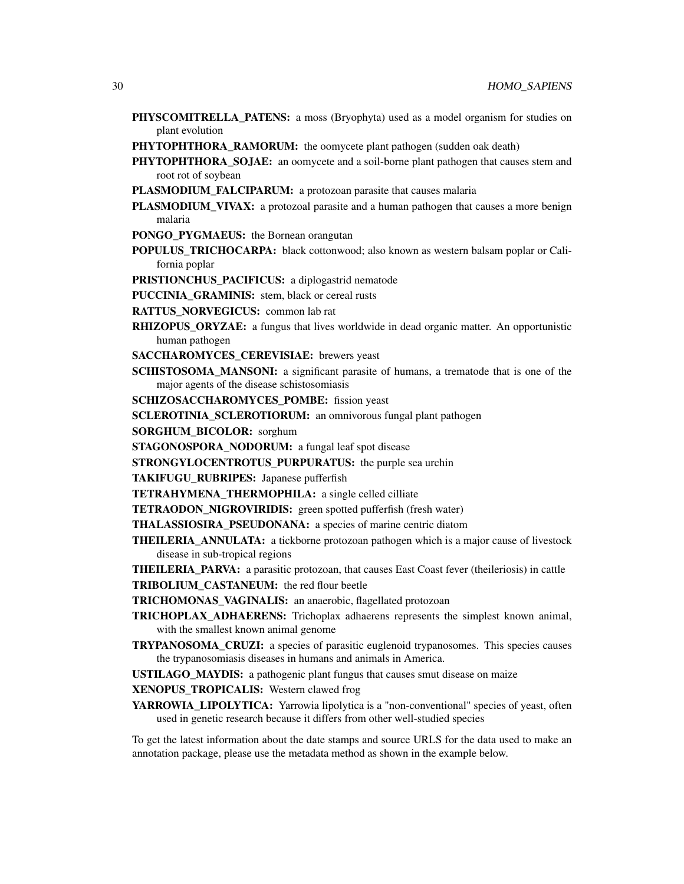- PHYSCOMITRELLA\_PATENS: a moss (Bryophyta) used as a model organism for studies on plant evolution
- PHYTOPHTHORA\_RAMORUM: the oomycete plant pathogen (sudden oak death)
- **PHYTOPHTHORA\_SOJAE:** an oomycete and a soil-borne plant pathogen that causes stem and root rot of soybean
- PLASMODIUM\_FALCIPARUM: a protozoan parasite that causes malaria
- PLASMODIUM\_VIVAX: a protozoal parasite and a human pathogen that causes a more benign malaria
- PONGO PYGMAEUS: the Bornean orangutan
- POPULUS\_TRICHOCARPA: black cottonwood; also known as western balsam poplar or California poplar
- PRISTIONCHUS\_PACIFICUS: a diplogastrid nematode
- PUCCINIA\_GRAMINIS: stem, black or cereal rusts
- RATTUS\_NORVEGICUS: common lab rat
- **RHIZOPUS\_ORYZAE:** a fungus that lives worldwide in dead organic matter. An opportunistic human pathogen
- SACCHAROMYCES\_CEREVISIAE: brewers yeast
- **SCHISTOSOMA MANSONI:** a significant parasite of humans, a trematode that is one of the major agents of the disease schistosomiasis
- SCHIZOSACCHAROMYCES POMBE: fission yeast
- SCLEROTINIA\_SCLEROTIORUM: an omnivorous fungal plant pathogen
- SORGHUM\_BICOLOR: sorghum
- STAGONOSPORA\_NODORUM: a fungal leaf spot disease
- STRONGYLOCENTROTUS PURPURATUS: the purple sea urchin

TAKIFUGU\_RUBRIPES: Japanese pufferfish

- TETRAHYMENA\_THERMOPHILA: a single celled cilliate
- TETRAODON\_NIGROVIRIDIS: green spotted pufferfish (fresh water)
- THALASSIOSIRA\_PSEUDONANA: a species of marine centric diatom
- THEILERIA\_ANNULATA: a tickborne protozoan pathogen which is a major cause of livestock disease in sub-tropical regions
- THEILERIA\_PARVA: a parasitic protozoan, that causes East Coast fever (theileriosis) in cattle TRIBOLIUM\_CASTANEUM: the red flour beetle
- TRICHOMONAS\_VAGINALIS: an anaerobic, flagellated protozoan
- TRICHOPLAX\_ADHAERENS: Trichoplax adhaerens represents the simplest known animal, with the smallest known animal genome
- TRYPANOSOMA\_CRUZI: a species of parasitic euglenoid trypanosomes. This species causes the trypanosomiasis diseases in humans and animals in America.
- USTILAGO\_MAYDIS: a pathogenic plant fungus that causes smut disease on maize
- XENOPUS TROPICALIS: Western clawed frog
- YARROWIA\_LIPOLYTICA: Yarrowia lipolytica is a "non-conventional" species of yeast, often used in genetic research because it differs from other well-studied species

To get the latest information about the date stamps and source URLS for the data used to make an annotation package, please use the metadata method as shown in the example below.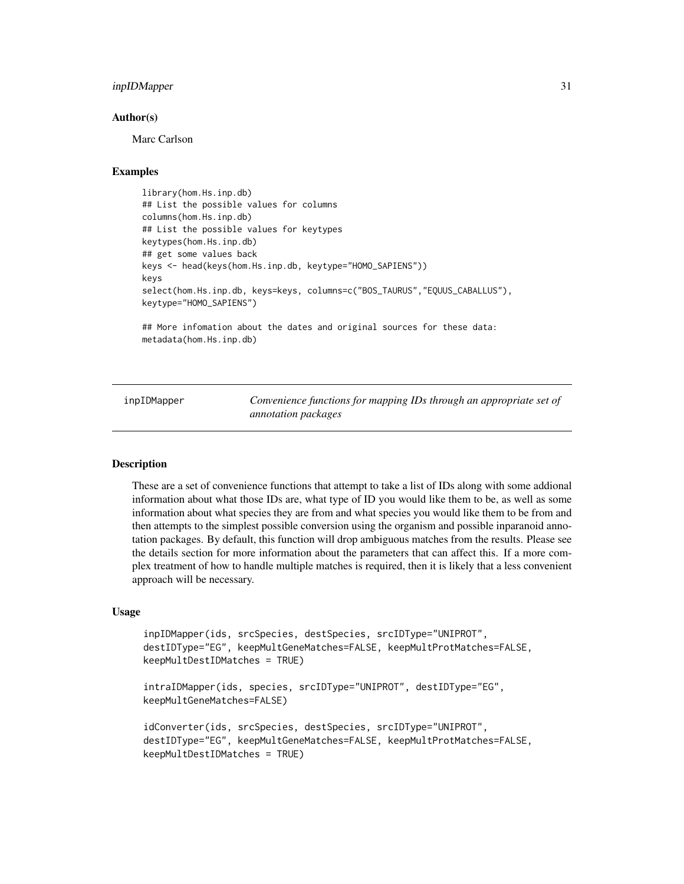# <span id="page-30-0"></span>inpIDMapper 31

#### Author(s)

Marc Carlson

# Examples

```
library(hom.Hs.inp.db)
## List the possible values for columns
columns(hom.Hs.inp.db)
## List the possible values for keytypes
keytypes(hom.Hs.inp.db)
## get some values back
keys <- head(keys(hom.Hs.inp.db, keytype="HOMO_SAPIENS"))
keys
select(hom.Hs.inp.db, keys=keys, columns=c("BOS_TAURUS","EQUUS_CABALLUS"),
keytype="HOMO_SAPIENS")
```
## More infomation about the dates and original sources for these data: metadata(hom.Hs.inp.db)

inpIDMapper *Convenience functions for mapping IDs through an appropriate set of annotation packages*

# Description

These are a set of convenience functions that attempt to take a list of IDs along with some addional information about what those IDs are, what type of ID you would like them to be, as well as some information about what species they are from and what species you would like them to be from and then attempts to the simplest possible conversion using the organism and possible inparanoid annotation packages. By default, this function will drop ambiguous matches from the results. Please see the details section for more information about the parameters that can affect this. If a more complex treatment of how to handle multiple matches is required, then it is likely that a less convenient approach will be necessary.

# Usage

```
inpIDMapper(ids, srcSpecies, destSpecies, srcIDType="UNIPROT",
destIDType="EG", keepMultGeneMatches=FALSE, keepMultProtMatches=FALSE,
keepMultDestIDMatches = TRUE)
```

```
intraIDMapper(ids, species, srcIDType="UNIPROT", destIDType="EG",
keepMultGeneMatches=FALSE)
```

```
idConverter(ids, srcSpecies, destSpecies, srcIDType="UNIPROT",
destIDType="EG", keepMultGeneMatches=FALSE, keepMultProtMatches=FALSE,
keepMultDestIDMatches = TRUE)
```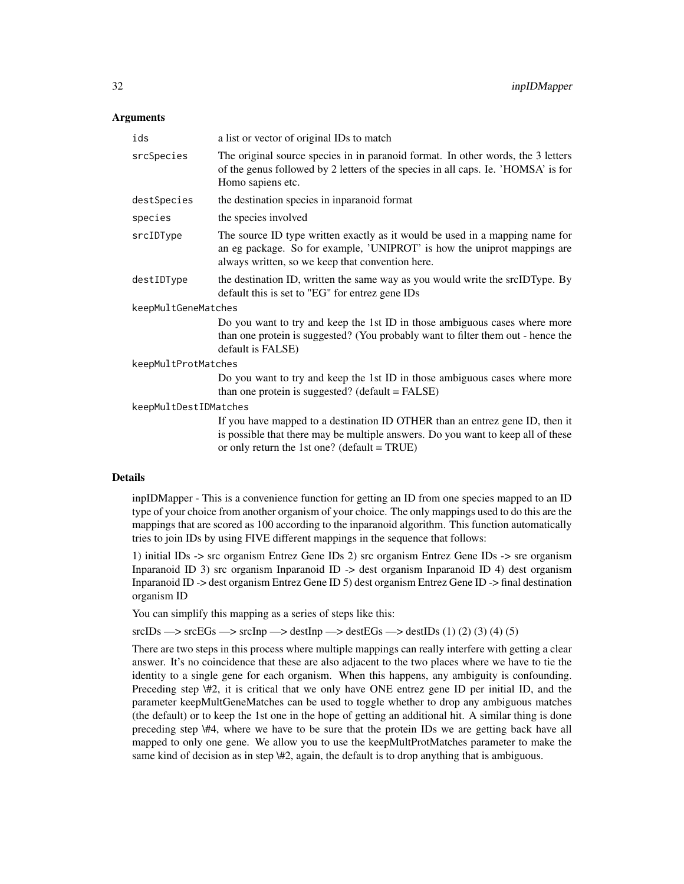# Arguments

| ids                   | a list or vector of original IDs to match                                                                                                                                                                           |  |
|-----------------------|---------------------------------------------------------------------------------------------------------------------------------------------------------------------------------------------------------------------|--|
| srcSpecies            | The original source species in in paranoid format. In other words, the 3 letters<br>of the genus followed by 2 letters of the species in all caps. Ie. 'HOMSA' is for<br>Homo sapiens etc.                          |  |
| destSpecies           | the destination species in inparanoid format                                                                                                                                                                        |  |
| species               | the species involved                                                                                                                                                                                                |  |
| srcIDType             | The source ID type written exactly as it would be used in a mapping name for<br>an eg package. So for example, 'UNIPROT' is how the uniprot mappings are<br>always written, so we keep that convention here.        |  |
| destIDType            | the destination ID, written the same way as you would write the srcIDType. By<br>default this is set to "EG" for entrez gene IDs                                                                                    |  |
| keepMultGeneMatches   |                                                                                                                                                                                                                     |  |
|                       | Do you want to try and keep the 1st ID in those ambiguous cases where more<br>than one protein is suggested? (You probably want to filter them out - hence the<br>default is FALSE)                                 |  |
| keepMultProtMatches   |                                                                                                                                                                                                                     |  |
|                       | Do you want to try and keep the 1st ID in those ambiguous cases where more<br>than one protein is suggested? (default = FALSE)                                                                                      |  |
| keepMultDestIDMatches |                                                                                                                                                                                                                     |  |
|                       | If you have mapped to a destination ID OTHER than an entrez gene ID, then it<br>is possible that there may be multiple answers. Do you want to keep all of these<br>or only return the 1st one? (default = $TRUE$ ) |  |

#### Details

inpIDMapper - This is a convenience function for getting an ID from one species mapped to an ID type of your choice from another organism of your choice. The only mappings used to do this are the mappings that are scored as 100 according to the inparanoid algorithm. This function automatically tries to join IDs by using FIVE different mappings in the sequence that follows:

1) initial IDs -> src organism Entrez Gene IDs 2) src organism Entrez Gene IDs -> sre organism Inparanoid ID 3) src organism Inparanoid ID -> dest organism Inparanoid ID 4) dest organism Inparanoid ID -> dest organism Entrez Gene ID 5) dest organism Entrez Gene ID -> final destination organism ID

You can simplify this mapping as a series of steps like this:

 $srcIDs \rightarrow srcEGs \rightarrow srcInp \rightarrow destInp \rightarrow destEGs \rightarrow destIDs (1) (2) (3) (4) (5)$ 

There are two steps in this process where multiple mappings can really interfere with getting a clear answer. It's no coincidence that these are also adjacent to the two places where we have to tie the identity to a single gene for each organism. When this happens, any ambiguity is confounding. Preceding step \#2, it is critical that we only have ONE entrez gene ID per initial ID, and the parameter keepMultGeneMatches can be used to toggle whether to drop any ambiguous matches (the default) or to keep the 1st one in the hope of getting an additional hit. A similar thing is done preceding step \#4, where we have to be sure that the protein IDs we are getting back have all mapped to only one gene. We allow you to use the keepMultProtMatches parameter to make the same kind of decision as in step \#2, again, the default is to drop anything that is ambiguous.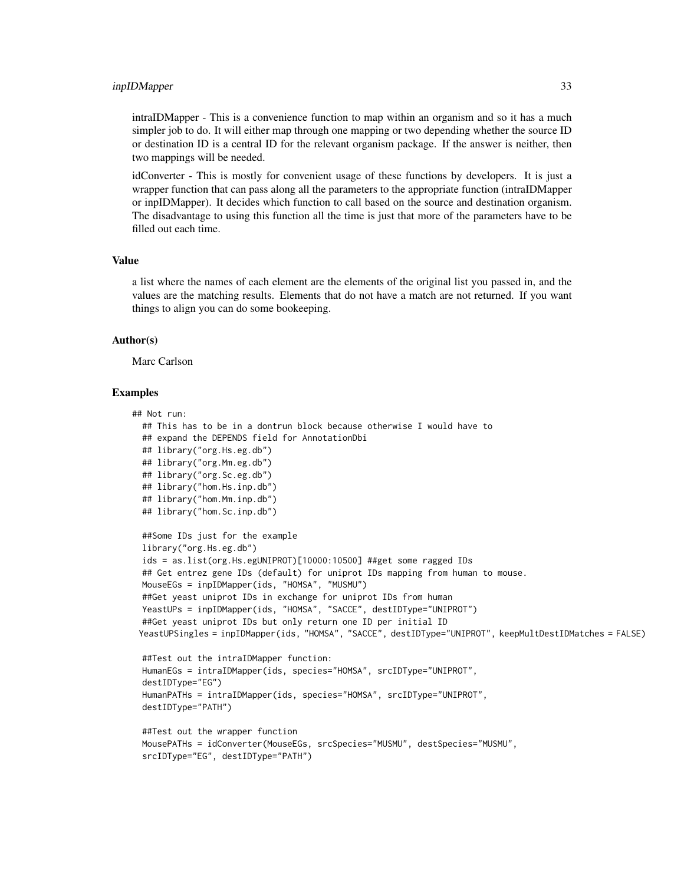#### inpIDMapper 33

intraIDMapper - This is a convenience function to map within an organism and so it has a much simpler job to do. It will either map through one mapping or two depending whether the source ID or destination ID is a central ID for the relevant organism package. If the answer is neither, then two mappings will be needed.

idConverter - This is mostly for convenient usage of these functions by developers. It is just a wrapper function that can pass along all the parameters to the appropriate function (intraIDMapper or inpIDMapper). It decides which function to call based on the source and destination organism. The disadvantage to using this function all the time is just that more of the parameters have to be filled out each time.

# Value

a list where the names of each element are the elements of the original list you passed in, and the values are the matching results. Elements that do not have a match are not returned. If you want things to align you can do some bookeeping.

#### Author(s)

Marc Carlson

# Examples

```
## Not run:
 ## This has to be in a dontrun block because otherwise I would have to
 ## expand the DEPENDS field for AnnotationDbi
 ## library("org.Hs.eg.db")
 ## library("org.Mm.eg.db")
 ## library("org.Sc.eg.db")
 ## library("hom.Hs.inp.db")
 ## library("hom.Mm.inp.db")
 ## library("hom.Sc.inp.db")
 ##Some IDs just for the example
 library("org.Hs.eg.db")
 ids = as.list(org.Hs.egUNIPROT)[10000:10500] ##get some ragged IDs
 ## Get entrez gene IDs (default) for uniprot IDs mapping from human to mouse.
 MouseEGs = inpIDMapper(ids, "HOMSA", "MUSMU")
 ##Get yeast uniprot IDs in exchange for uniprot IDs from human
 YeastUPs = inpIDMapper(ids, "HOMSA", "SACCE", destIDType="UNIPROT")
 ##Get yeast uniprot IDs but only return one ID per initial ID
 YeastUPSingles = inpIDMapper(ids, "HOMSA", "SACCE", destIDType="UNIPROT", keepMultDestIDMatches = FALSE)
 ##Test out the intraIDMapper function:
 HumanEGs = intraIDMapper(ids, species="HOMSA", srcIDType="UNIPROT",
 destIDType="EG")
 HumanPATHs = intraIDMapper(ids, species="HOMSA", srcIDType="UNIPROT",
 destIDType="PATH")
 ##Test out the wrapper function
 MousePATHs = idConverter(MouseEGs, srcSpecies="MUSMU", destSpecies="MUSMU",
 srcIDType="EG", destIDType="PATH")
```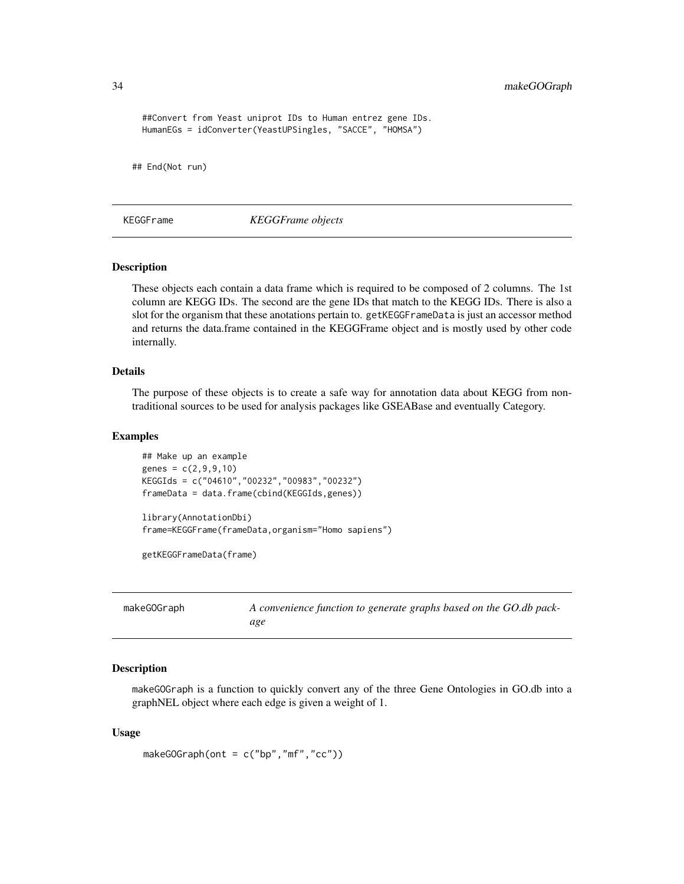<span id="page-33-0"></span>34 makeGOGraph

```
##Convert from Yeast uniprot IDs to Human entrez gene IDs.
 HumanEGs = idConverter(YeastUPSingles, "SACCE", "HOMSA")
## End(Not run)
```
KEGGFrame *KEGGFrame objects*

# Description

These objects each contain a data frame which is required to be composed of 2 columns. The 1st column are KEGG IDs. The second are the gene IDs that match to the KEGG IDs. There is also a slot for the organism that these anotations pertain to. getKEGGFrameData is just an accessor method and returns the data.frame contained in the KEGGFrame object and is mostly used by other code internally.

#### Details

The purpose of these objects is to create a safe way for annotation data about KEGG from nontraditional sources to be used for analysis packages like GSEABase and eventually Category.

# Examples

```
## Make up an example
genes = c(2, 9, 9, 10)KEGGIds = c("04610","00232","00983","00232")
frameData = data.frame(cbind(KEGGIds,genes))
library(AnnotationDbi)
frame=KEGGFrame(frameData,organism="Homo sapiens")
```
getKEGGFrameData(frame)

<span id="page-33-1"></span>

| makeGOGraph | A convenience function to generate graphs based on the GO.db pack- |
|-------------|--------------------------------------------------------------------|
|             | age                                                                |

# **Description**

makeGOGraph is a function to quickly convert any of the three Gene Ontologies in GO.db into a graphNEL object where each edge is given a weight of 1.

#### Usage

```
makeGOGraph(ont = c("bp", "mf", "cc"))
```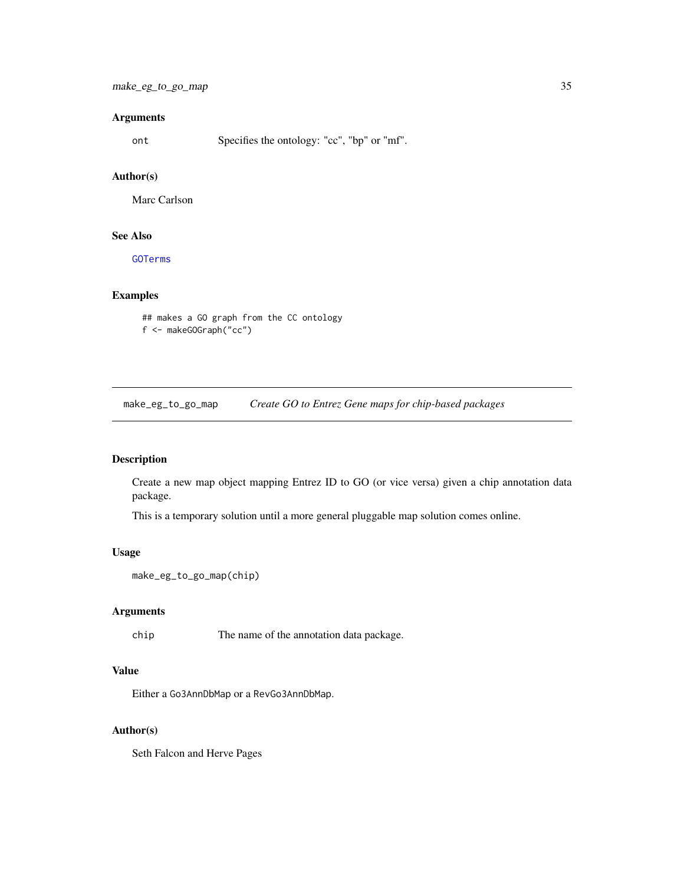# <span id="page-34-0"></span>Arguments

ont Specifies the ontology: "cc", "bp" or "mf".

#### Author(s)

Marc Carlson

# See Also

[GOTerms](#page-25-1)

# Examples

```
## makes a GO graph from the CC ontology
f <- makeGOGraph("cc")
```
make\_eg\_to\_go\_map *Create GO to Entrez Gene maps for chip-based packages*

# Description

Create a new map object mapping Entrez ID to GO (or vice versa) given a chip annotation data package.

This is a temporary solution until a more general pluggable map solution comes online.

# Usage

```
make_eg_to_go_map(chip)
```
# Arguments

chip The name of the annotation data package.

# Value

Either a Go3AnnDbMap or a RevGo3AnnDbMap.

# Author(s)

Seth Falcon and Herve Pages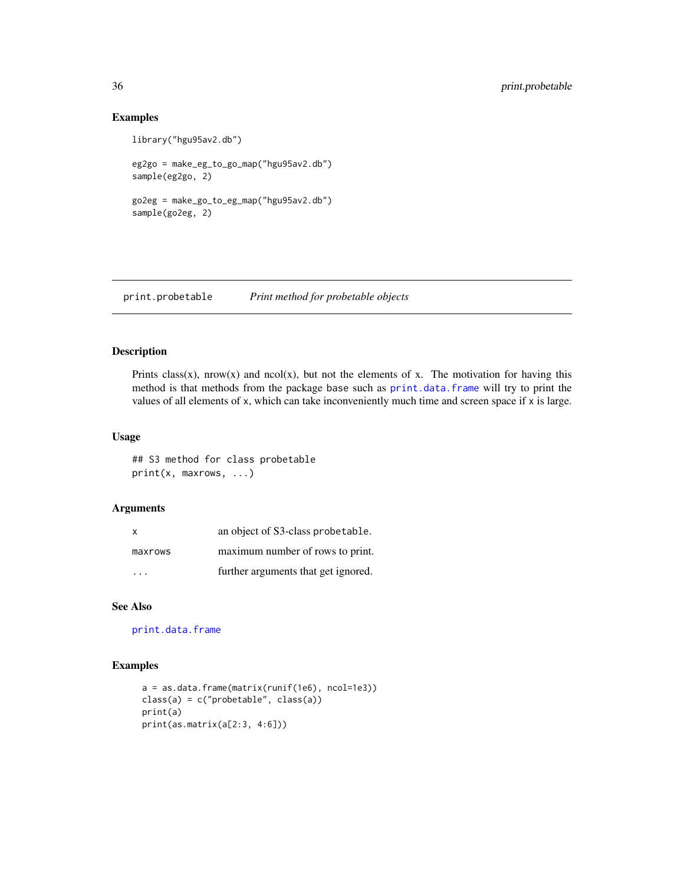# Examples

```
library("hgu95av2.db")
```

```
eg2go = make_eg_to_go_map("hgu95av2.db")
sample(eg2go, 2)
```

```
go2eg = make_go_to_eg_map("hgu95av2.db")
sample(go2eg, 2)
```
print.probetable *Print method for probetable objects*

# Description

Prints class(x), nrow(x) and ncol(x), but not the elements of x. The motivation for having this method is that methods from the package base such as [print.data.frame](#page-0-0) will try to print the values of all elements of  $x$ , which can take inconveniently much time and screen space if  $x$  is large.

# Usage

## S3 method for class probetable print(x, maxrows, ...)

# Arguments

| $\mathsf{x}$ | an object of S3-class probetable.   |
|--------------|-------------------------------------|
| maxrows      | maximum number of rows to print.    |
| .            | further arguments that get ignored. |

# See Also

[print.data.frame](#page-0-0)

# Examples

```
a = as.data.frame(matrix(runif(1e6), ncol=1e3))
class(a) = c("probetable", class(a))
print(a)
print(as.matrix(a[2:3, 4:6]))
```
<span id="page-35-0"></span>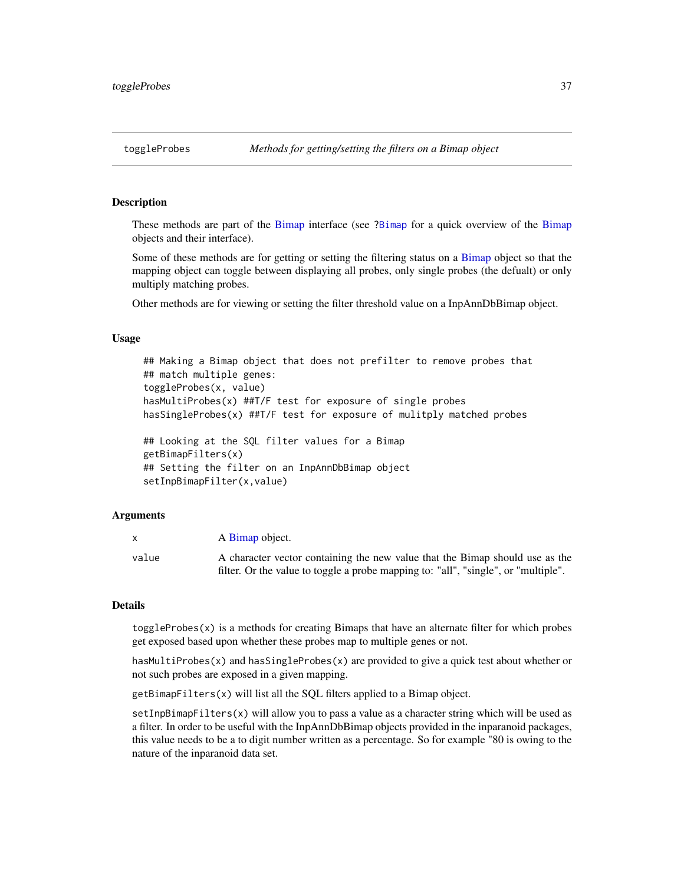# <span id="page-36-0"></span>Description

These methods are part of the [Bimap](#page-9-2) interface (see [?Bimap](#page-9-2) for a quick overview of the [Bimap](#page-9-2) objects and their interface).

Some of these methods are for getting or setting the filtering status on a [Bimap](#page-9-2) object so that the mapping object can toggle between displaying all probes, only single probes (the defualt) or only multiply matching probes.

Other methods are for viewing or setting the filter threshold value on a InpAnnDbBimap object.

# Usage

```
## Making a Bimap object that does not prefilter to remove probes that
## match multiple genes:
toggleProbes(x, value)
hasMultiProbes(x) ##T/F test for exposure of single probes
hasSingleProbes(x) ##T/F test for exposure of mulitply matched probes
## Looking at the SQL filter values for a Bimap
getBimapFilters(x)
## Setting the filter on an InpAnnDbBimap object
setInpBimapFilter(x,value)
```
## Arguments

|       | A Bimap object.                                                                    |
|-------|------------------------------------------------------------------------------------|
| value | A character vector containing the new value that the Bimap should use as the       |
|       | filter. Or the value to toggle a probe mapping to: "all", "single", or "multiple". |

#### **Details**

 $toggleProbes(x)$  is a methods for creating Bimaps that have an alternate filter for which probes get exposed based upon whether these probes map to multiple genes or not.

hasMultiProbes(x) and hasSingleProbes(x) are provided to give a quick test about whether or not such probes are exposed in a given mapping.

getBimapFilters(x) will list all the SQL filters applied to a Bimap object.

setInpBimapFilters(x) will allow you to pass a value as a character string which will be used as a filter. In order to be useful with the InpAnnDbBimap objects provided in the inparanoid packages, this value needs to be a to digit number written as a percentage. So for example "80 is owing to the nature of the inparanoid data set.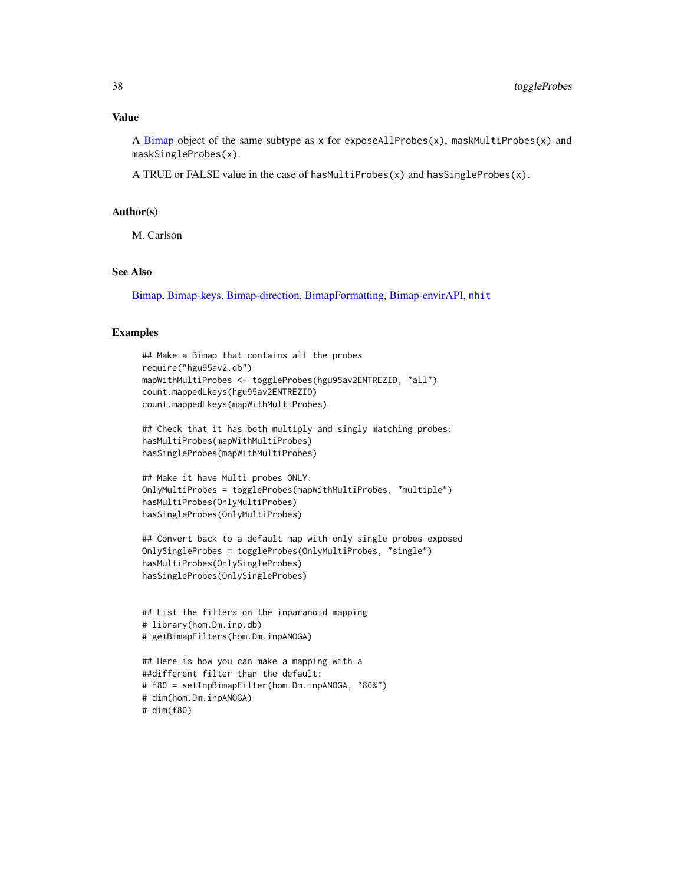A [Bimap](#page-9-2) object of the same subtype as x for exposeAllProbes $(x)$ , maskMultiProbes $(x)$  and maskSingleProbes(x).

A TRUE or FALSE value in the case of hasMultiProbes $(x)$  and hasSingleProbes $(x)$ .

#### Author(s)

M. Carlson

# See Also

[Bimap,](#page-9-2) [Bimap-keys,](#page-17-1) [Bimap-direction,](#page-12-1) [BimapFormatting,](#page-21-1) [Bimap-envirAPI,](#page-15-1) [nhit](#page-19-2)

#### Examples

```
## Make a Bimap that contains all the probes
require("hgu95av2.db")
mapWithMultiProbes <- toggleProbes(hgu95av2ENTREZID, "all")
count.mappedLkeys(hgu95av2ENTREZID)
count.mappedLkeys(mapWithMultiProbes)
## Check that it has both multiply and singly matching probes:
hasMultiProbes(mapWithMultiProbes)
```
hasSingleProbes(mapWithMultiProbes)

```
## Make it have Multi probes ONLY:
OnlyMultiProbes = toggleProbes(mapWithMultiProbes, "multiple")
hasMultiProbes(OnlyMultiProbes)
hasSingleProbes(OnlyMultiProbes)
```

```
## Convert back to a default map with only single probes exposed
OnlySingleProbes = toggleProbes(OnlyMultiProbes, "single")
hasMultiProbes(OnlySingleProbes)
hasSingleProbes(OnlySingleProbes)
```

```
## List the filters on the inparanoid mapping
# library(hom.Dm.inp.db)
# getBimapFilters(hom.Dm.inpANOGA)
```

```
## Here is how you can make a mapping with a
##different filter than the default:
# f80 = setInpBimapFilter(hom.Dm.inpANOGA, "80%")
# dim(hom.Dm.inpANOGA)
# dim(f80)
```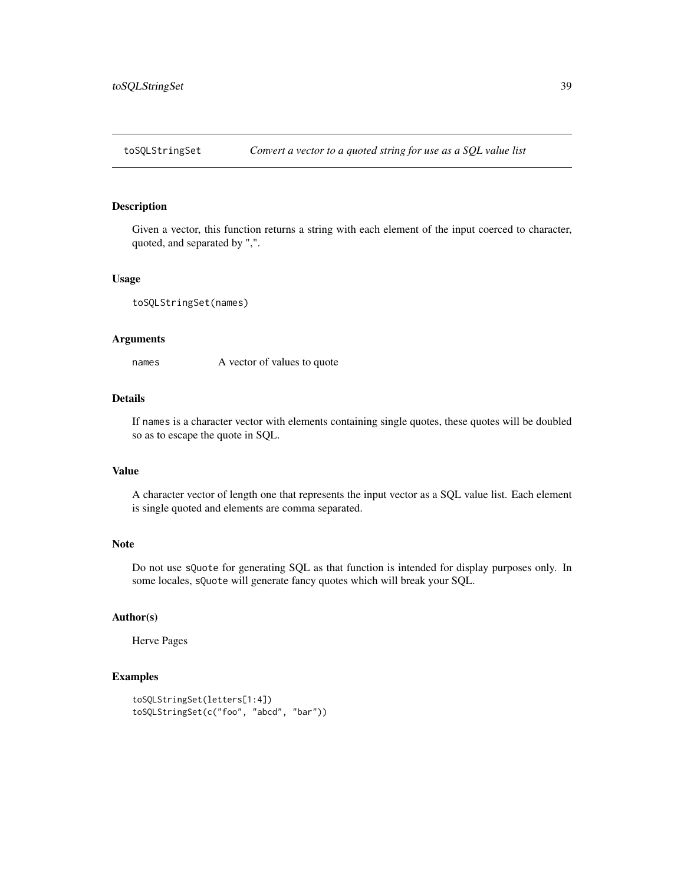<span id="page-38-0"></span>

#### Description

Given a vector, this function returns a string with each element of the input coerced to character, quoted, and separated by ",".

#### Usage

```
toSQLStringSet(names)
```
# Arguments

names A vector of values to quote

# Details

If names is a character vector with elements containing single quotes, these quotes will be doubled so as to escape the quote in SQL.

#### Value

A character vector of length one that represents the input vector as a SQL value list. Each element is single quoted and elements are comma separated.

# Note

Do not use sQuote for generating SQL as that function is intended for display purposes only. In some locales, sQuote will generate fancy quotes which will break your SQL.

# Author(s)

Herve Pages

# Examples

```
toSQLStringSet(letters[1:4])
toSQLStringSet(c("foo", "abcd", "bar"))
```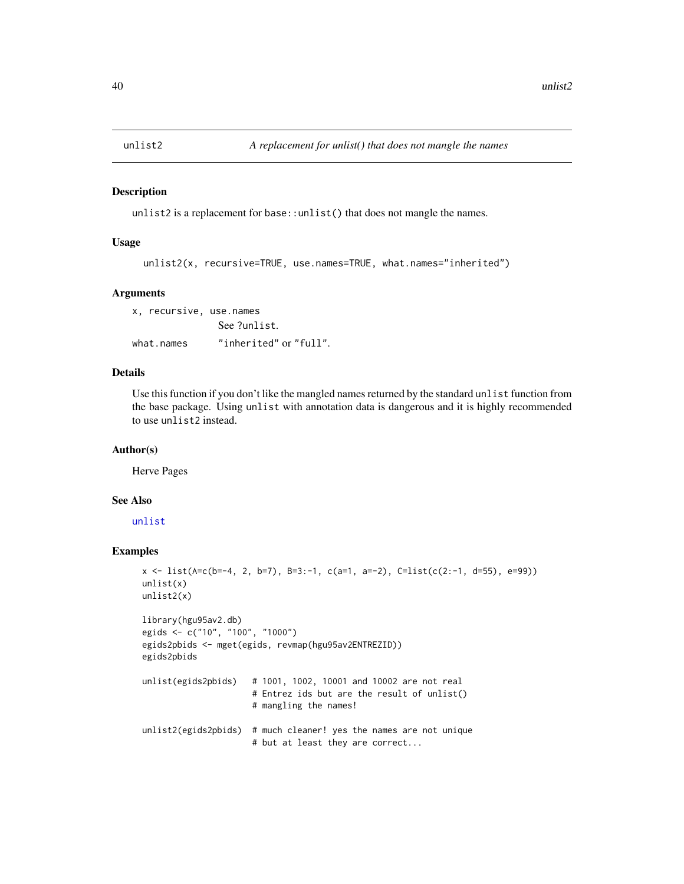<span id="page-39-0"></span>

#### Description

unlist2 is a replacement for base::unlist() that does not mangle the names.

# Usage

```
unlist2(x, recursive=TRUE, use.names=TRUE, what.names="inherited")
```
#### Arguments

x, recursive, use.names See ?unlist. what.names "inherited" or "full".

# Details

Use this function if you don't like the mangled names returned by the standard unlist function from the base package. Using unlist with annotation data is dangerous and it is highly recommended to use unlist2 instead.

#### Author(s)

Herve Pages

# See Also

[unlist](#page-0-0)

# Examples

```
x <- list(A=c(b=-4, 2, b=7), B=3:-1, c(a=1, a=-2), C=list(c(2:-1, d=55), e=99))
unlist(x)
unlist2(x)
library(hgu95av2.db)
egids <- c("10", "100", "1000")
egids2pbids <- mget(egids, revmap(hgu95av2ENTREZID))
egids2pbids
unlist(egids2pbids) # 1001, 1002, 10001 and 10002 are not real
                      # Entrez ids but are the result of unlist()
                      # mangling the names!
unlist2(egids2pbids) # much cleaner! yes the names are not unique
                      # but at least they are correct...
```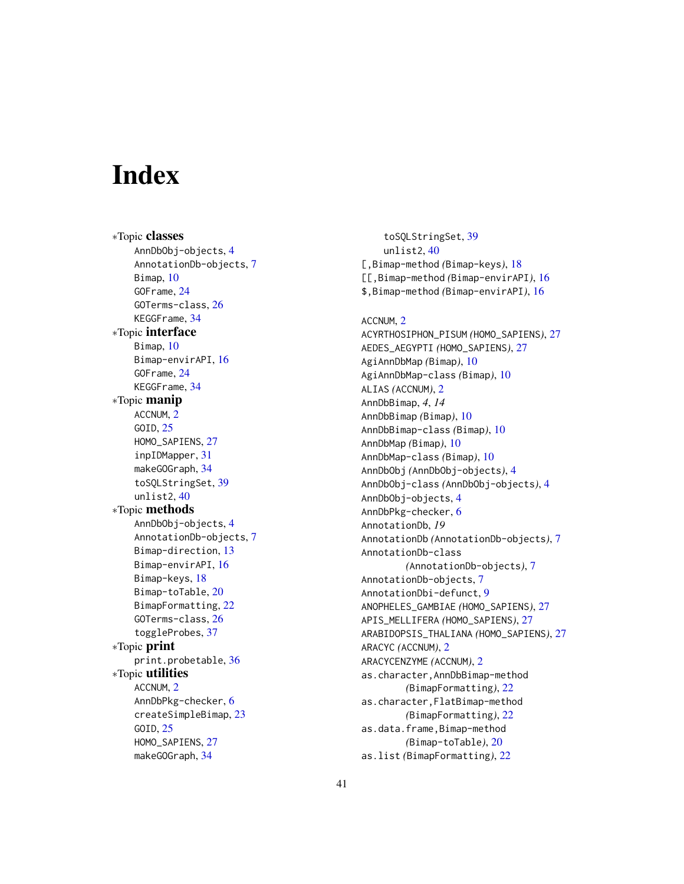# <span id="page-40-0"></span>**Index**

∗Topic classes AnnDbObj-objects, [4](#page-3-0) AnnotationDb-objects, [7](#page-6-0) Bimap, [10](#page-9-0) GOFrame, [24](#page-23-0) GOTerms-class, [26](#page-25-0) KEGGFrame, [34](#page-33-0) ∗Topic interface Bimap, [10](#page-9-0) Bimap-envirAPI, [16](#page-15-0) GOFrame, [24](#page-23-0) KEGGFrame, [34](#page-33-0) ∗Topic manip ACCNUM, [2](#page-1-0) GOID, [25](#page-24-0) HOMO\_SAPIENS, [27](#page-26-0) inpIDMapper, [31](#page-30-0) makeGOGraph, [34](#page-33-0) toSQLStringSet, [39](#page-38-0) unlist2, [40](#page-39-0) ∗Topic methods AnnDbObj-objects, [4](#page-3-0) AnnotationDb-objects, [7](#page-6-0) Bimap-direction, [13](#page-12-0) Bimap-envirAPI, [16](#page-15-0) Bimap-keys, [18](#page-17-0) Bimap-toTable, [20](#page-19-0) BimapFormatting, [22](#page-21-0) GOTerms-class, [26](#page-25-0) toggleProbes, [37](#page-36-0) ∗Topic print print.probetable, [36](#page-35-0) ∗Topic utilities ACCNUM, [2](#page-1-0) AnnDbPkg-checker, [6](#page-5-0) createSimpleBimap, [23](#page-22-0) GOID, [25](#page-24-0) HOMO\_SAPIENS, [27](#page-26-0) makeGOGraph, [34](#page-33-0)

toSQLStringSet, [39](#page-38-0) unlist2, [40](#page-39-0) [,Bimap-method *(*Bimap-keys*)*, [18](#page-17-0) [[,Bimap-method *(*Bimap-envirAPI*)*, [16](#page-15-0) \$,Bimap-method *(*Bimap-envirAPI*)*, [16](#page-15-0)

ACCNUM, [2](#page-1-0) ACYRTHOSIPHON\_PISUM *(*HOMO\_SAPIENS*)*, [27](#page-26-0) AEDES\_AEGYPTI *(*HOMO\_SAPIENS*)*, [27](#page-26-0) AgiAnnDbMap *(*Bimap*)*, [10](#page-9-0) AgiAnnDbMap-class *(*Bimap*)*, [10](#page-9-0) ALIAS *(*ACCNUM*)*, [2](#page-1-0) AnnDbBimap, *4*, *14* AnnDbBimap *(*Bimap*)*, [10](#page-9-0) AnnDbBimap-class *(*Bimap*)*, [10](#page-9-0) AnnDbMap *(*Bimap*)*, [10](#page-9-0) AnnDbMap-class *(*Bimap*)*, [10](#page-9-0) AnnDbObj *(*AnnDbObj-objects*)*, [4](#page-3-0) AnnDbObj-class *(*AnnDbObj-objects*)*, [4](#page-3-0) AnnDbObj-objects, [4](#page-3-0) AnnDbPkg-checker, [6](#page-5-0) AnnotationDb, *19* AnnotationDb *(*AnnotationDb-objects*)*, [7](#page-6-0) AnnotationDb-class *(*AnnotationDb-objects*)*, [7](#page-6-0) AnnotationDb-objects, [7](#page-6-0) AnnotationDbi-defunct, [9](#page-8-0) ANOPHELES\_GAMBIAE *(*HOMO\_SAPIENS*)*, [27](#page-26-0) APIS\_MELLIFERA *(*HOMO\_SAPIENS*)*, [27](#page-26-0) ARABIDOPSIS\_THALIANA *(*HOMO\_SAPIENS*)*, [27](#page-26-0) ARACYC *(*ACCNUM*)*, [2](#page-1-0) ARACYCENZYME *(*ACCNUM*)*, [2](#page-1-0) as.character,AnnDbBimap-method *(*BimapFormatting*)*, [22](#page-21-0) as.character,FlatBimap-method *(*BimapFormatting*)*, [22](#page-21-0) as.data.frame, Bimap-method *(*Bimap-toTable*)*, [20](#page-19-0) as.list *(*BimapFormatting*)*, [22](#page-21-0)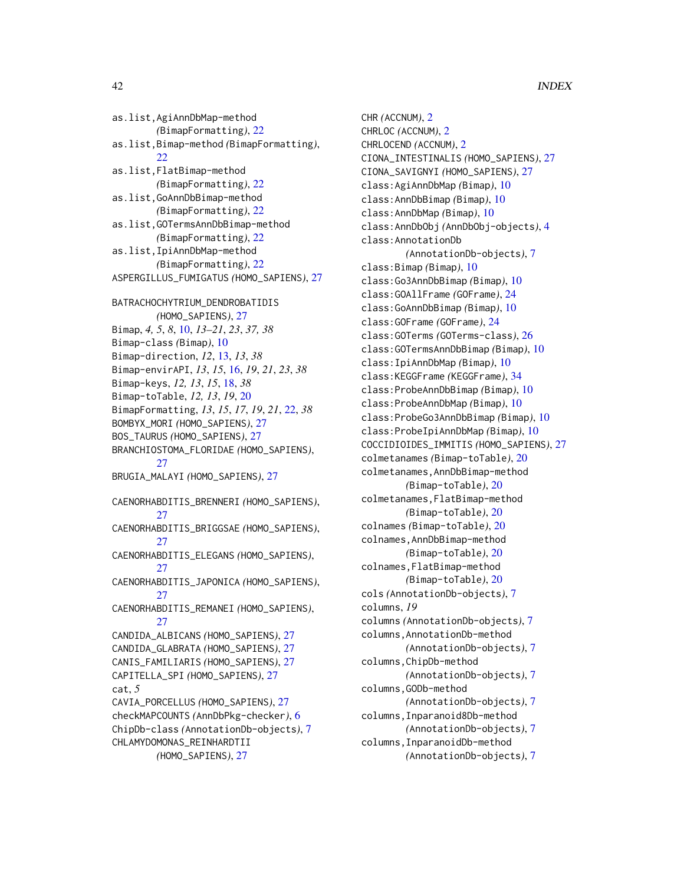```
as.list,AgiAnnDbMap-method
        (BimapFormatting), 22
as.list,Bimap-method (BimapFormatting),
        22as.list,FlatBimap-method
        (BimapFormatting), 22
as.list,GoAnnDbBimap-method
        (BimapFormatting), 22
as.list,GOTermsAnnDbBimap-method
        (BimapFormatting), 22
as.list,IpiAnnDbMap-method
        (BimapFormatting), 22
ASPERGILLUS_FUMIGATUS (HOMO_SAPIENS), 27
BATRACHOCHYTRIUM_DENDROBATIDIS
        (HOMO_SAPIENS), 27
Bimap, 4, 5, 8, 10, 13–21, 23, 37, 38
Bimap-class (Bimap), 10
Bimap-direction, 12, 13, 13, 38
Bimap-envirAPI, 13, 15, 16, 19, 21, 23, 38
Bimap-keys, 12, 13, 15, 18, 38
Bimap-toTable, 12, 13, 19, 20
BimapFormatting, 13, 15, 17, 19, 21, 22, 38
BOMBYX_MORI (HOMO_SAPIENS), 27
BOS_TAURUS (HOMO_SAPIENS), 27
BRANCHIOSTOMA_FLORIDAE (HOMO_SAPIENS),
        27
BRUGIA_MALAYI (HOMO_SAPIENS), 27
CAENORHABDITIS_BRENNERI (HOMO_SAPIENS),
        27
CAENORHABDITIS_BRIGGSAE (HOMO_SAPIENS),
        27
CAENORHABDITIS_ELEGANS (HOMO_SAPIENS),
        27
CAENORHABDITIS_JAPONICA (HOMO_SAPIENS),
        27
CAENORHABDITIS_REMANEI (HOMO_SAPIENS),
        27
CANDIDA_ALBICANS (HOMO_SAPIENS), 27
CANDIDA_GLABRATA (HOMO_SAPIENS), 27
CANIS_FAMILIARIS (HOMO_SAPIENS), 27
CAPITELLA_SPI (HOMO_SAPIENS), 27
cat, 5
CAVIA_PORCELLUS (HOMO_SAPIENS), 27
checkMAPCOUNTS (AnnDbPkg-checker), 6
ChipDb-class (AnnotationDb-objects), 7
CHLAMYDOMONAS_REINHARDTII
        (HOMO_SAPIENS), 27
```

```
CHR (ACCNUM), 2
CHRLOC (ACCNUM), 2
CHRLOCEND (ACCNUM), 2
CIONA_INTESTINALIS (HOMO_SAPIENS), 27
CIONA_SAVIGNYI (HOMO_SAPIENS), 27
class:AgiAnnDbMap (Bimap), 10
class:AnnDbBimap (Bimap), 10
class:AnnDbMap (Bimap), 10
class:AnnDbObj (AnnDbObj-objects), 4
class:AnnotationDb
        (AnnotationDb-objects), 7
class:Bimap (Bimap), 10
class:Go3AnnDbBimap (Bimap), 10
class:GOAllFrame (GOFrame), 24
class:GoAnnDbBimap (Bimap), 10
class:GOFrame (GOFrame), 24
class:GOTerms (GOTerms-class), 26
class:GOTermsAnnDbBimap (Bimap), 10
class:IpiAnnDbMap (Bimap), 10
class:KEGGFrame (KEGGFrame), 34
class:ProbeAnnDbBimap (Bimap), 10
class:ProbeAnnDbMap (Bimap), 10
class:ProbeGo3AnnDbBimap (Bimap), 10
class:ProbeIpiAnnDbMap (Bimap), 10
COCCIDIOIDES_IMMITIS (HOMO_SAPIENS), 27
colmetanames (Bimap-toTable), 20
colmetanames,AnnDbBimap-method
        (Bimap-toTable), 20
colmetanames,FlatBimap-method
        (Bimap-toTable), 20
colnames (Bimap-toTable), 20
colnames,AnnDbBimap-method
        (Bimap-toTable), 20
colnames,FlatBimap-method
        (Bimap-toTable), 20
cols (AnnotationDb-objects), 7
columns, 19
columns (AnnotationDb-objects), 7
columns,AnnotationDb-method
        (AnnotationDb-objects), 7
columns,ChipDb-method
        (AnnotationDb-objects), 7
columns,GODb-method
        (AnnotationDb-objects), 7
columns,Inparanoid8Db-method
        (AnnotationDb-objects), 7
columns,InparanoidDb-method
        (AnnotationDb-objects), 7
```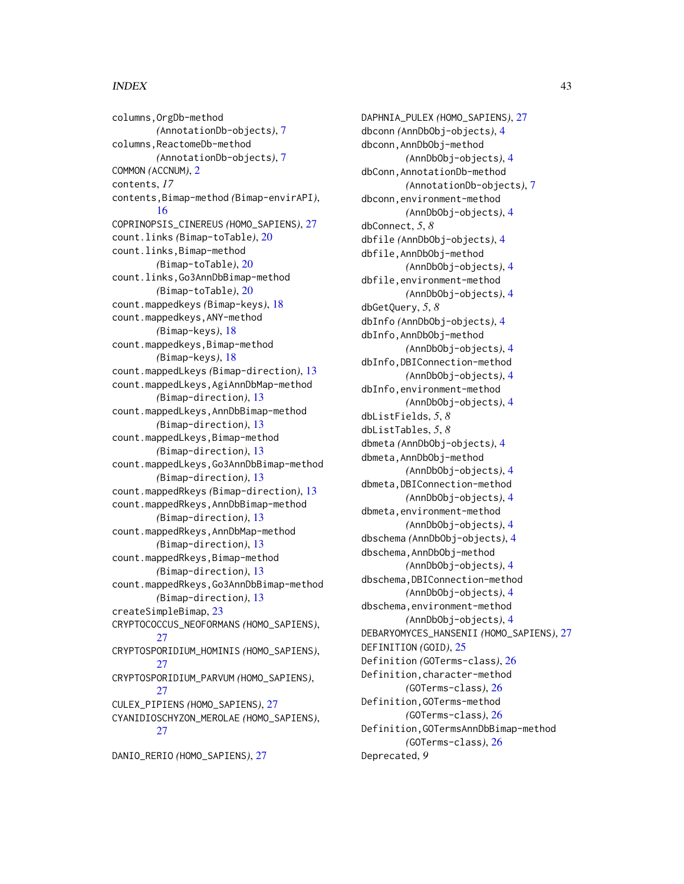#### $I<sub>N</sub>$  and  $I<sub>3</sub>$  and  $I<sub>43</sub>$

columns,OrgDb-method *(*AnnotationDb-objects*)*, [7](#page-6-0) columns, ReactomeDb-method *(*AnnotationDb-objects*)*, [7](#page-6-0) COMMON *(*ACCNUM*)*, [2](#page-1-0) contents, *17* contents,Bimap-method *(*Bimap-envirAPI*)*, [16](#page-15-0) COPRINOPSIS\_CINEREUS *(*HOMO\_SAPIENS*)*, [27](#page-26-0) count.links *(*Bimap-toTable*)*, [20](#page-19-0) count.links,Bimap-method *(*Bimap-toTable*)*, [20](#page-19-0) count.links,Go3AnnDbBimap-method *(*Bimap-toTable*)*, [20](#page-19-0) count.mappedkeys *(*Bimap-keys*)*, [18](#page-17-0) count.mappedkeys,ANY-method *(*Bimap-keys*)*, [18](#page-17-0) count.mappedkeys,Bimap-method *(*Bimap-keys*)*, [18](#page-17-0) count.mappedLkeys *(*Bimap-direction*)*, [13](#page-12-0) count.mappedLkeys, AgiAnnDbMap-method *(*Bimap-direction*)*, [13](#page-12-0) count.mappedLkeys,AnnDbBimap-method *(*Bimap-direction*)*, [13](#page-12-0) count.mappedLkeys,Bimap-method *(*Bimap-direction*)*, [13](#page-12-0) count.mappedLkeys,Go3AnnDbBimap-method *(*Bimap-direction*)*, [13](#page-12-0) count.mappedRkeys *(*Bimap-direction*)*, [13](#page-12-0) count.mappedRkeys,AnnDbBimap-method *(*Bimap-direction*)*, [13](#page-12-0) count.mappedRkeys,AnnDbMap-method *(*Bimap-direction*)*, [13](#page-12-0) count.mappedRkeys, Bimap-method *(*Bimap-direction*)*, [13](#page-12-0) count.mappedRkeys,Go3AnnDbBimap-method *(*Bimap-direction*)*, [13](#page-12-0) createSimpleBimap, [23](#page-22-0) CRYPTOCOCCUS\_NEOFORMANS *(*HOMO\_SAPIENS*)*, [27](#page-26-0) CRYPTOSPORIDIUM\_HOMINIS *(*HOMO\_SAPIENS*)*, [27](#page-26-0) CRYPTOSPORIDIUM\_PARVUM *(*HOMO\_SAPIENS*)*, [27](#page-26-0) CULEX\_PIPIENS *(*HOMO\_SAPIENS*)*, [27](#page-26-0) CYANIDIOSCHYZON\_MEROLAE *(*HOMO\_SAPIENS*)*, [27](#page-26-0)

DANIO\_RERIO *(*HOMO\_SAPIENS*)*, [27](#page-26-0)

DAPHNIA\_PULEX *(*HOMO\_SAPIENS*)*, [27](#page-26-0) dbconn *(*AnnDbObj-objects*)*, [4](#page-3-0) dbconn,AnnDbObj-method *(*AnnDbObj-objects*)*, [4](#page-3-0) dbConn,AnnotationDb-method *(*AnnotationDb-objects*)*, [7](#page-6-0) dbconn,environment-method *(*AnnDbObj-objects*)*, [4](#page-3-0) dbConnect, *5*, *8* dbfile *(*AnnDbObj-objects*)*, [4](#page-3-0) dbfile,AnnDbObj-method *(*AnnDbObj-objects*)*, [4](#page-3-0) dbfile,environment-method *(*AnnDbObj-objects*)*, [4](#page-3-0) dbGetQuery, *5*, *8* dbInfo *(*AnnDbObj-objects*)*, [4](#page-3-0) dbInfo,AnnDbObj-method *(*AnnDbObj-objects*)*, [4](#page-3-0) dbInfo,DBIConnection-method *(*AnnDbObj-objects*)*, [4](#page-3-0) dbInfo,environment-method *(*AnnDbObj-objects*)*, [4](#page-3-0) dbListFields, *5*, *8* dbListTables, *5*, *8* dbmeta *(*AnnDbObj-objects*)*, [4](#page-3-0) dbmeta,AnnDbObj-method *(*AnnDbObj-objects*)*, [4](#page-3-0) dbmeta,DBIConnection-method *(*AnnDbObj-objects*)*, [4](#page-3-0) dbmeta,environment-method *(*AnnDbObj-objects*)*, [4](#page-3-0) dbschema *(*AnnDbObj-objects*)*, [4](#page-3-0) dbschema,AnnDbObj-method *(*AnnDbObj-objects*)*, [4](#page-3-0) dbschema,DBIConnection-method *(*AnnDbObj-objects*)*, [4](#page-3-0) dbschema,environment-method *(*AnnDbObj-objects*)*, [4](#page-3-0) DEBARYOMYCES\_HANSENII *(*HOMO\_SAPIENS*)*, [27](#page-26-0) DEFINITION *(*GOID*)*, [25](#page-24-0) Definition *(*GOTerms-class*)*, [26](#page-25-0) Definition,character-method *(*GOTerms-class*)*, [26](#page-25-0) Definition,GOTerms-method *(*GOTerms-class*)*, [26](#page-25-0) Definition,GOTermsAnnDbBimap-method *(*GOTerms-class*)*, [26](#page-25-0) Deprecated, *9*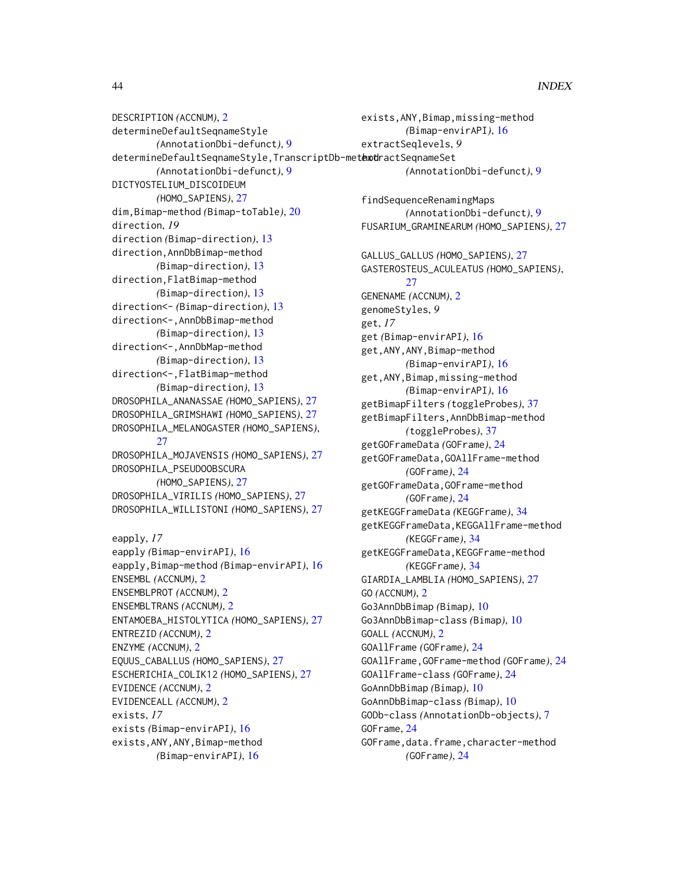DESCRIPTION *(*ACCNUM*)*, [2](#page-1-0) determineDefaultSeqnameStyle *(*AnnotationDbi-defunct*)*, [9](#page-8-0) determineDefaultSeqnameStyle,TranscriptDb-metextdractSeqnameSet *(*AnnotationDbi-defunct*)*, [9](#page-8-0) DICTYOSTELIUM\_DISCOIDEUM *(*HOMO\_SAPIENS*)*, [27](#page-26-0) dim,Bimap-method *(*Bimap-toTable*)*, [20](#page-19-0) direction, *19* direction *(*Bimap-direction*)*, [13](#page-12-0) direction,AnnDbBimap-method *(*Bimap-direction*)*, [13](#page-12-0) direction,FlatBimap-method *(*Bimap-direction*)*, [13](#page-12-0) direction<- *(*Bimap-direction*)*, [13](#page-12-0) direction<-,AnnDbBimap-method *(*Bimap-direction*)*, [13](#page-12-0) direction<-,AnnDbMap-method *(*Bimap-direction*)*, [13](#page-12-0) direction<-,FlatBimap-method *(*Bimap-direction*)*, [13](#page-12-0) DROSOPHILA\_ANANASSAE *(*HOMO\_SAPIENS*)*, [27](#page-26-0) DROSOPHILA\_GRIMSHAWI *(*HOMO\_SAPIENS*)*, [27](#page-26-0) DROSOPHILA\_MELANOGASTER *(*HOMO\_SAPIENS*)*, [27](#page-26-0) DROSOPHILA\_MOJAVENSIS *(*HOMO\_SAPIENS*)*, [27](#page-26-0) DROSOPHILA\_PSEUDOOBSCURA *(*HOMO\_SAPIENS*)*, [27](#page-26-0) DROSOPHILA\_VIRILIS *(*HOMO\_SAPIENS*)*, [27](#page-26-0) DROSOPHILA\_WILLISTONI *(*HOMO\_SAPIENS*)*, [27](#page-26-0) eapply, *17* eapply *(*Bimap-envirAPI*)*, [16](#page-15-0) eapply,Bimap-method *(*Bimap-envirAPI*)*, [16](#page-15-0) ENSEMBL *(*ACCNUM*)*, [2](#page-1-0) ENSEMBLPROT *(*ACCNUM*)*, [2](#page-1-0) ENSEMBLTRANS *(*ACCNUM*)*, [2](#page-1-0) ENTAMOEBA\_HISTOLYTICA *(*HOMO\_SAPIENS*)*, [27](#page-26-0) ENTREZID *(*ACCNUM*)*, [2](#page-1-0) ENZYME *(*ACCNUM*)*, [2](#page-1-0) EQUUS\_CABALLUS *(*HOMO\_SAPIENS*)*, [27](#page-26-0) ESCHERICHIA\_COLIK12 *(*HOMO\_SAPIENS*)*, [27](#page-26-0) EVIDENCE *(*ACCNUM*)*, [2](#page-1-0) EVIDENCEALL *(*ACCNUM*)*, [2](#page-1-0)

extractSeqlevels, *9 (*AnnotationDbi-defunct*)*, [9](#page-8-0) findSequenceRenamingMaps *(*AnnotationDbi-defunct*)*, [9](#page-8-0) FUSARIUM\_GRAMINEARUM *(*HOMO\_SAPIENS*)*, [27](#page-26-0) GALLUS\_GALLUS *(*HOMO\_SAPIENS*)*, [27](#page-26-0) GASTEROSTEUS\_ACULEATUS *(*HOMO\_SAPIENS*)*, [27](#page-26-0) GENENAME *(*ACCNUM*)*, [2](#page-1-0) genomeStyles, *9* get, *17* get *(*Bimap-envirAPI*)*, [16](#page-15-0) get,ANY,ANY,Bimap-method *(*Bimap-envirAPI*)*, [16](#page-15-0) get,ANY,Bimap,missing-method *(*Bimap-envirAPI*)*, [16](#page-15-0) getBimapFilters *(*toggleProbes*)*, [37](#page-36-0) getBimapFilters,AnnDbBimap-method *(*toggleProbes*)*, [37](#page-36-0) getGOFrameData *(*GOFrame*)*, [24](#page-23-0) getGOFrameData,GOAllFrame-method *(*GOFrame*)*, [24](#page-23-0) getGOFrameData,GOFrame-method *(*GOFrame*)*, [24](#page-23-0) getKEGGFrameData *(*KEGGFrame*)*, [34](#page-33-0) getKEGGFrameData,KEGGAllFrame-method *(*KEGGFrame*)*, [34](#page-33-0) getKEGGFrameData,KEGGFrame-method *(*KEGGFrame*)*, [34](#page-33-0) GIARDIA\_LAMBLIA *(*HOMO\_SAPIENS*)*, [27](#page-26-0) GO *(*ACCNUM*)*, [2](#page-1-0) Go3AnnDbBimap *(*Bimap*)*, [10](#page-9-0) Go3AnnDbBimap-class *(*Bimap*)*, [10](#page-9-0) GOALL *(*ACCNUM*)*, [2](#page-1-0) GOAllFrame *(*GOFrame*)*, [24](#page-23-0) GOAllFrame,GOFrame-method *(*GOFrame*)*, [24](#page-23-0) GOAllFrame-class *(*GOFrame*)*, [24](#page-23-0) GoAnnDbBimap *(*Bimap*)*, [10](#page-9-0) GoAnnDbBimap-class *(*Bimap*)*, [10](#page-9-0) GODb-class *(*AnnotationDb-objects*)*, [7](#page-6-0) GOFrame, [24](#page-23-0) GOFrame,data.frame,character-method *(*GOFrame*)*, [24](#page-23-0)

exists,ANY,Bimap,missing-method *(*Bimap-envirAPI*)*, [16](#page-15-0)

exists, *17*

exists *(*Bimap-envirAPI*)*, [16](#page-15-0) exists,ANY,ANY,Bimap-method

*(*Bimap-envirAPI*)*, [16](#page-15-0)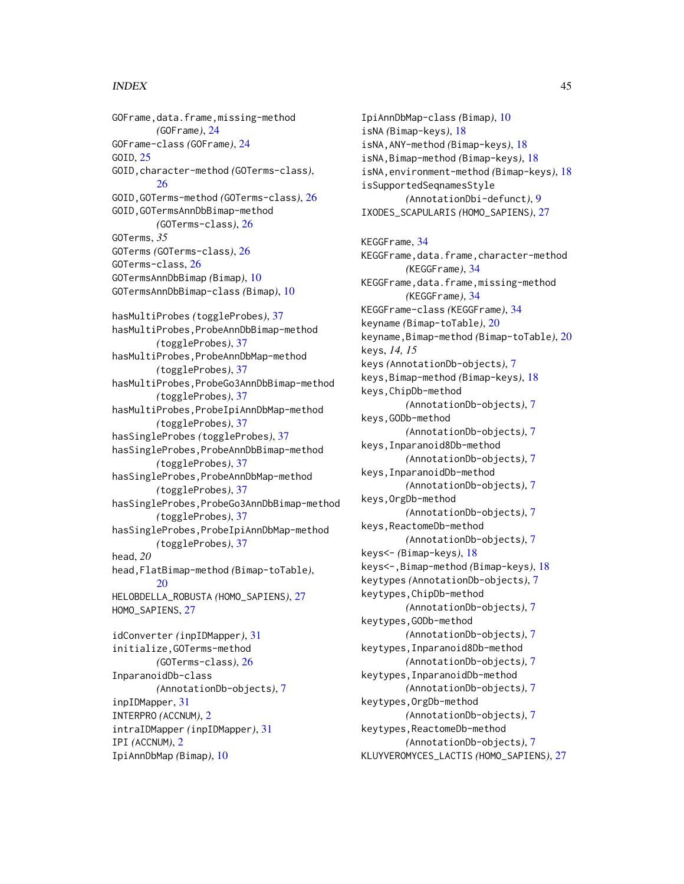# INDEX 45

GOFrame,data.frame,missing-method *(*GOFrame*)*, [24](#page-23-0) GOFrame-class *(*GOFrame*)*, [24](#page-23-0) GOID, [25](#page-24-0) GOID,character-method *(*GOTerms-class*)*, [26](#page-25-0) GOID,GOTerms-method *(*GOTerms-class*)*, [26](#page-25-0) GOID,GOTermsAnnDbBimap-method *(*GOTerms-class*)*, [26](#page-25-0) GOTerms, *35* GOTerms *(*GOTerms-class*)*, [26](#page-25-0) GOTerms-class, [26](#page-25-0) GOTermsAnnDbBimap *(*Bimap*)*, [10](#page-9-0) GOTermsAnnDbBimap-class *(*Bimap*)*, [10](#page-9-0) hasMultiProbes *(*toggleProbes*)*, [37](#page-36-0) hasMultiProbes,ProbeAnnDbBimap-method *(*toggleProbes*)*, [37](#page-36-0) hasMultiProbes,ProbeAnnDbMap-method *(*toggleProbes*)*, [37](#page-36-0) hasMultiProbes,ProbeGo3AnnDbBimap-method *(*toggleProbes*)*, [37](#page-36-0) hasMultiProbes,ProbeIpiAnnDbMap-method *(*toggleProbes*)*, [37](#page-36-0) hasSingleProbes *(*toggleProbes*)*, [37](#page-36-0) hasSingleProbes,ProbeAnnDbBimap-method *(*toggleProbes*)*, [37](#page-36-0) hasSingleProbes,ProbeAnnDbMap-method *(*toggleProbes*)*, [37](#page-36-0) hasSingleProbes,ProbeGo3AnnDbBimap-method *(*toggleProbes*)*, [37](#page-36-0) hasSingleProbes,ProbeIpiAnnDbMap-method *(*toggleProbes*)*, [37](#page-36-0) head, *20* head,FlatBimap-method *(*Bimap-toTable*)*, [20](#page-19-0) HELOBDELLA\_ROBUSTA *(*HOMO\_SAPIENS*)*, [27](#page-26-0) HOMO\_SAPIENS, [27](#page-26-0) idConverter *(*inpIDMapper*)*, [31](#page-30-0) initialize,GOTerms-method *(*GOTerms-class*)*, [26](#page-25-0) InparanoidDb-class *(*AnnotationDb-objects*)*, [7](#page-6-0) inpIDMapper, [31](#page-30-0) INTERPRO *(*ACCNUM*)*, [2](#page-1-0) intraIDMapper *(*inpIDMapper*)*, [31](#page-30-0)

IPI *(*ACCNUM*)*, [2](#page-1-0) IpiAnnDbMap *(*Bimap*)*, [10](#page-9-0)

IpiAnnDbMap-class *(*Bimap*)*, [10](#page-9-0) isNA *(*Bimap-keys*)*, [18](#page-17-0) isNA,ANY-method *(*Bimap-keys*)*, [18](#page-17-0) isNA,Bimap-method *(*Bimap-keys*)*, [18](#page-17-0) isNA,environment-method *(*Bimap-keys*)*, [18](#page-17-0) isSupportedSeqnamesStyle *(*AnnotationDbi-defunct*)*, [9](#page-8-0) IXODES\_SCAPULARIS *(*HOMO\_SAPIENS*)*, [27](#page-26-0) KEGGFrame, [34](#page-33-0) KEGGFrame,data.frame,character-method *(*KEGGFrame*)*, [34](#page-33-0) KEGGFrame,data.frame,missing-method *(*KEGGFrame*)*, [34](#page-33-0) KEGGFrame-class *(*KEGGFrame*)*, [34](#page-33-0) keyname *(*Bimap-toTable*)*, [20](#page-19-0) keyname,Bimap-method *(*Bimap-toTable*)*, [20](#page-19-0) keys, *14, 15* keys *(*AnnotationDb-objects*)*, [7](#page-6-0) keys,Bimap-method *(*Bimap-keys*)*, [18](#page-17-0) keys,ChipDb-method *(*AnnotationDb-objects*)*, [7](#page-6-0) keys,GODb-method *(*AnnotationDb-objects*)*, [7](#page-6-0) keys,Inparanoid8Db-method *(*AnnotationDb-objects*)*, [7](#page-6-0) keys,InparanoidDb-method *(*AnnotationDb-objects*)*, [7](#page-6-0) keys,OrgDb-method *(*AnnotationDb-objects*)*, [7](#page-6-0) keys,ReactomeDb-method *(*AnnotationDb-objects*)*, [7](#page-6-0) keys<- *(*Bimap-keys*)*, [18](#page-17-0) keys<-,Bimap-method *(*Bimap-keys*)*, [18](#page-17-0) keytypes *(*AnnotationDb-objects*)*, [7](#page-6-0) keytypes,ChipDb-method *(*AnnotationDb-objects*)*, [7](#page-6-0) keytypes,GODb-method *(*AnnotationDb-objects*)*, [7](#page-6-0) keytypes,Inparanoid8Db-method *(*AnnotationDb-objects*)*, [7](#page-6-0) keytypes,InparanoidDb-method *(*AnnotationDb-objects*)*, [7](#page-6-0) keytypes,OrgDb-method *(*AnnotationDb-objects*)*, [7](#page-6-0) keytypes,ReactomeDb-method *(*AnnotationDb-objects*)*, [7](#page-6-0) KLUYVEROMYCES\_LACTIS *(*HOMO\_SAPIENS*)*, [27](#page-26-0)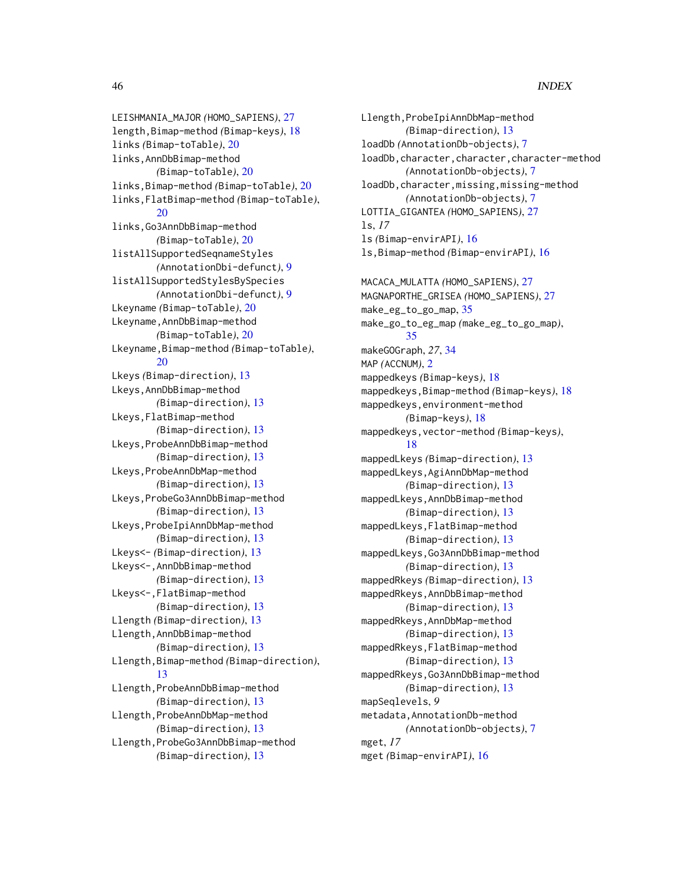LEISHMANIA\_MAJOR *(*HOMO\_SAPIENS*)*, [27](#page-26-0) length,Bimap-method *(*Bimap-keys*)*, [18](#page-17-0) links *(*Bimap-toTable*)*, [20](#page-19-0) links,AnnDbBimap-method *(*Bimap-toTable*)*, [20](#page-19-0) links,Bimap-method *(*Bimap-toTable*)*, [20](#page-19-0) links,FlatBimap-method *(*Bimap-toTable*)*, [20](#page-19-0) links,Go3AnnDbBimap-method *(*Bimap-toTable*)*, [20](#page-19-0) listAllSupportedSeqnameStyles *(*AnnotationDbi-defunct*)*, [9](#page-8-0) listAllSupportedStylesBySpecies *(*AnnotationDbi-defunct*)*, [9](#page-8-0) Lkeyname *(*Bimap-toTable*)*, [20](#page-19-0) Lkeyname,AnnDbBimap-method *(*Bimap-toTable*)*, [20](#page-19-0) Lkeyname,Bimap-method *(*Bimap-toTable*)*, [20](#page-19-0) Lkeys *(*Bimap-direction*)*, [13](#page-12-0) Lkeys,AnnDbBimap-method *(*Bimap-direction*)*, [13](#page-12-0) Lkeys,FlatBimap-method *(*Bimap-direction*)*, [13](#page-12-0) Lkeys,ProbeAnnDbBimap-method *(*Bimap-direction*)*, [13](#page-12-0) Lkeys,ProbeAnnDbMap-method *(*Bimap-direction*)*, [13](#page-12-0) Lkeys,ProbeGo3AnnDbBimap-method *(*Bimap-direction*)*, [13](#page-12-0) Lkeys,ProbeIpiAnnDbMap-method *(*Bimap-direction*)*, [13](#page-12-0) Lkeys<- *(*Bimap-direction*)*, [13](#page-12-0) Lkeys<-,AnnDbBimap-method *(*Bimap-direction*)*, [13](#page-12-0) Lkeys<-,FlatBimap-method *(*Bimap-direction*)*, [13](#page-12-0) Llength *(*Bimap-direction*)*, [13](#page-12-0) Llength,AnnDbBimap-method *(*Bimap-direction*)*, [13](#page-12-0) Llength,Bimap-method *(*Bimap-direction*)*, [13](#page-12-0) Llength,ProbeAnnDbBimap-method *(*Bimap-direction*)*, [13](#page-12-0) Llength,ProbeAnnDbMap-method *(*Bimap-direction*)*, [13](#page-12-0) Llength,ProbeGo3AnnDbBimap-method *(*Bimap-direction*)*, [13](#page-12-0)

Llength,ProbeIpiAnnDbMap-method *(*Bimap-direction*)*, [13](#page-12-0) loadDb *(*AnnotationDb-objects*)*, [7](#page-6-0) loadDb,character,character,character-method *(*AnnotationDb-objects*)*, [7](#page-6-0) loadDb,character,missing,missing-method *(*AnnotationDb-objects*)*, [7](#page-6-0) LOTTIA\_GIGANTEA *(*HOMO\_SAPIENS*)*, [27](#page-26-0) ls, *17* ls *(*Bimap-envirAPI*)*, [16](#page-15-0) ls,Bimap-method *(*Bimap-envirAPI*)*, [16](#page-15-0) MACACA\_MULATTA *(*HOMO\_SAPIENS*)*, [27](#page-26-0) MAGNAPORTHE\_GRISEA *(*HOMO\_SAPIENS*)*, [27](#page-26-0) make\_eg\_to\_go\_map, [35](#page-34-0) make\_go\_to\_eg\_map *(*make\_eg\_to\_go\_map*)*, [35](#page-34-0) makeGOGraph, *27*, [34](#page-33-0) MAP *(*ACCNUM*)*, [2](#page-1-0) mappedkeys *(*Bimap-keys*)*, [18](#page-17-0) mappedkeys,Bimap-method *(*Bimap-keys*)*, [18](#page-17-0) mappedkeys,environment-method *(*Bimap-keys*)*, [18](#page-17-0) mappedkeys,vector-method *(*Bimap-keys*)*, [18](#page-17-0) mappedLkeys *(*Bimap-direction*)*, [13](#page-12-0) mappedLkeys,AgiAnnDbMap-method *(*Bimap-direction*)*, [13](#page-12-0) mappedLkeys,AnnDbBimap-method *(*Bimap-direction*)*, [13](#page-12-0) mappedLkeys,FlatBimap-method *(*Bimap-direction*)*, [13](#page-12-0) mappedLkeys,Go3AnnDbBimap-method *(*Bimap-direction*)*, [13](#page-12-0) mappedRkeys *(*Bimap-direction*)*, [13](#page-12-0) mappedRkeys,AnnDbBimap-method *(*Bimap-direction*)*, [13](#page-12-0) mappedRkeys,AnnDbMap-method *(*Bimap-direction*)*, [13](#page-12-0) mappedRkeys,FlatBimap-method *(*Bimap-direction*)*, [13](#page-12-0) mappedRkeys,Go3AnnDbBimap-method *(*Bimap-direction*)*, [13](#page-12-0) mapSeqlevels, *9* metadata,AnnotationDb-method *(*AnnotationDb-objects*)*, [7](#page-6-0) mget, *17* mget *(*Bimap-envirAPI*)*, [16](#page-15-0)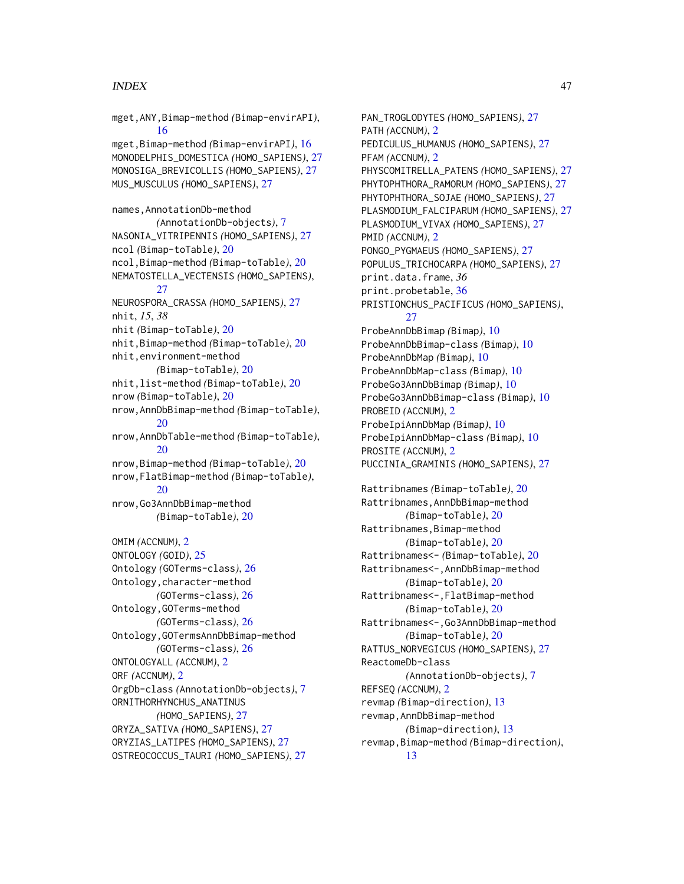## INDEX 47

mget,ANY,Bimap-method *(*Bimap-envirAPI*)*, [16](#page-15-0) mget,Bimap-method *(*Bimap-envirAPI*)*, [16](#page-15-0) MONODELPHIS\_DOMESTICA *(*HOMO\_SAPIENS*)*, [27](#page-26-0) MONOSIGA\_BREVICOLLIS *(*HOMO\_SAPIENS*)*, [27](#page-26-0) MUS\_MUSCULUS *(*HOMO\_SAPIENS*)*, [27](#page-26-0) names,AnnotationDb-method *(*AnnotationDb-objects*)*, [7](#page-6-0) NASONIA\_VITRIPENNIS *(*HOMO\_SAPIENS*)*, [27](#page-26-0) ncol *(*Bimap-toTable*)*, [20](#page-19-0) ncol,Bimap-method *(*Bimap-toTable*)*, [20](#page-19-0) NEMATOSTELLA\_VECTENSIS *(*HOMO\_SAPIENS*)*, [27](#page-26-0) NEUROSPORA\_CRASSA *(*HOMO\_SAPIENS*)*, [27](#page-26-0) nhit, *15*, *38* nhit *(*Bimap-toTable*)*, [20](#page-19-0) nhit,Bimap-method *(*Bimap-toTable*)*, [20](#page-19-0) nhit,environment-method *(*Bimap-toTable*)*, [20](#page-19-0) nhit,list-method *(*Bimap-toTable*)*, [20](#page-19-0) nrow *(*Bimap-toTable*)*, [20](#page-19-0) nrow,AnnDbBimap-method *(*Bimap-toTable*)*, [20](#page-19-0) nrow,AnnDbTable-method *(*Bimap-toTable*)*, [20](#page-19-0) nrow,Bimap-method *(*Bimap-toTable*)*, [20](#page-19-0) nrow,FlatBimap-method *(*Bimap-toTable*)*, [20](#page-19-0) nrow,Go3AnnDbBimap-method *(*Bimap-toTable*)*, [20](#page-19-0) OMIM *(*ACCNUM*)*, [2](#page-1-0) ONTOLOGY *(*GOID*)*, [25](#page-24-0) Ontology *(*GOTerms-class*)*, [26](#page-25-0) Ontology,character-method *(*GOTerms-class*)*, [26](#page-25-0) Ontology,GOTerms-method *(*GOTerms-class*)*, [26](#page-25-0) Ontology,GOTermsAnnDbBimap-method *(*GOTerms-class*)*, [26](#page-25-0) ONTOLOGYALL *(*ACCNUM*)*, [2](#page-1-0) ORF *(*ACCNUM*)*, [2](#page-1-0) OrgDb-class *(*AnnotationDb-objects*)*, [7](#page-6-0) ORNITHORHYNCHUS\_ANATINUS *(*HOMO\_SAPIENS*)*, [27](#page-26-0) ORYZA\_SATIVA *(*HOMO\_SAPIENS*)*, [27](#page-26-0) ORYZIAS\_LATIPES *(*HOMO\_SAPIENS*)*, [27](#page-26-0) OSTREOCOCCUS\_TAURI *(*HOMO\_SAPIENS*)*, [27](#page-26-0)

PAN\_TROGLODYTES *(*HOMO\_SAPIENS*)*, [27](#page-26-0) PATH *(*ACCNUM*)*, [2](#page-1-0) PEDICULUS\_HUMANUS *(*HOMO\_SAPIENS*)*, [27](#page-26-0) PFAM *(*ACCNUM*)*, [2](#page-1-0) PHYSCOMITRELLA\_PATENS *(*HOMO\_SAPIENS*)*, [27](#page-26-0) PHYTOPHTHORA\_RAMORUM *(*HOMO\_SAPIENS*)*, [27](#page-26-0) PHYTOPHTHORA\_SOJAE *(*HOMO\_SAPIENS*)*, [27](#page-26-0) PLASMODIUM\_FALCIPARUM *(*HOMO\_SAPIENS*)*, [27](#page-26-0) PLASMODIUM\_VIVAX *(*HOMO\_SAPIENS*)*, [27](#page-26-0) PMID *(*ACCNUM*)*, [2](#page-1-0) PONGO\_PYGMAEUS *(*HOMO\_SAPIENS*)*, [27](#page-26-0) POPULUS\_TRICHOCARPA *(*HOMO\_SAPIENS*)*, [27](#page-26-0) print.data.frame, *36* print.probetable, [36](#page-35-0) PRISTIONCHUS\_PACIFICUS *(*HOMO\_SAPIENS*)*, [27](#page-26-0) ProbeAnnDbBimap *(*Bimap*)*, [10](#page-9-0) ProbeAnnDbBimap-class *(*Bimap*)*, [10](#page-9-0) ProbeAnnDbMap *(*Bimap*)*, [10](#page-9-0) ProbeAnnDbMap-class *(*Bimap*)*, [10](#page-9-0) ProbeGo3AnnDbBimap *(*Bimap*)*, [10](#page-9-0) ProbeGo3AnnDbBimap-class *(*Bimap*)*, [10](#page-9-0) PROBEID *(*ACCNUM*)*, [2](#page-1-0) ProbeIpiAnnDbMap *(*Bimap*)*, [10](#page-9-0) ProbeIpiAnnDbMap-class *(*Bimap*)*, [10](#page-9-0) PROSITE *(*ACCNUM*)*, [2](#page-1-0) PUCCINIA\_GRAMINIS *(*HOMO\_SAPIENS*)*, [27](#page-26-0) Rattribnames *(*Bimap-toTable*)*, [20](#page-19-0) Rattribnames,AnnDbBimap-method *(*Bimap-toTable*)*, [20](#page-19-0) Rattribnames, Bimap-method *(*Bimap-toTable*)*, [20](#page-19-0) Rattribnames<- *(*Bimap-toTable*)*, [20](#page-19-0) Rattribnames<-,AnnDbBimap-method *(*Bimap-toTable*)*, [20](#page-19-0) Rattribnames<-,FlatBimap-method *(*Bimap-toTable*)*, [20](#page-19-0) Rattribnames<-,Go3AnnDbBimap-method *(*Bimap-toTable*)*, [20](#page-19-0) RATTUS\_NORVEGICUS *(*HOMO\_SAPIENS*)*, [27](#page-26-0) ReactomeDb-class *(*AnnotationDb-objects*)*, [7](#page-6-0) REFSEQ *(*ACCNUM*)*, [2](#page-1-0) revmap *(*Bimap-direction*)*, [13](#page-12-0) revmap,AnnDbBimap-method *(*Bimap-direction*)*, [13](#page-12-0) revmap,Bimap-method *(*Bimap-direction*)*, [13](#page-12-0)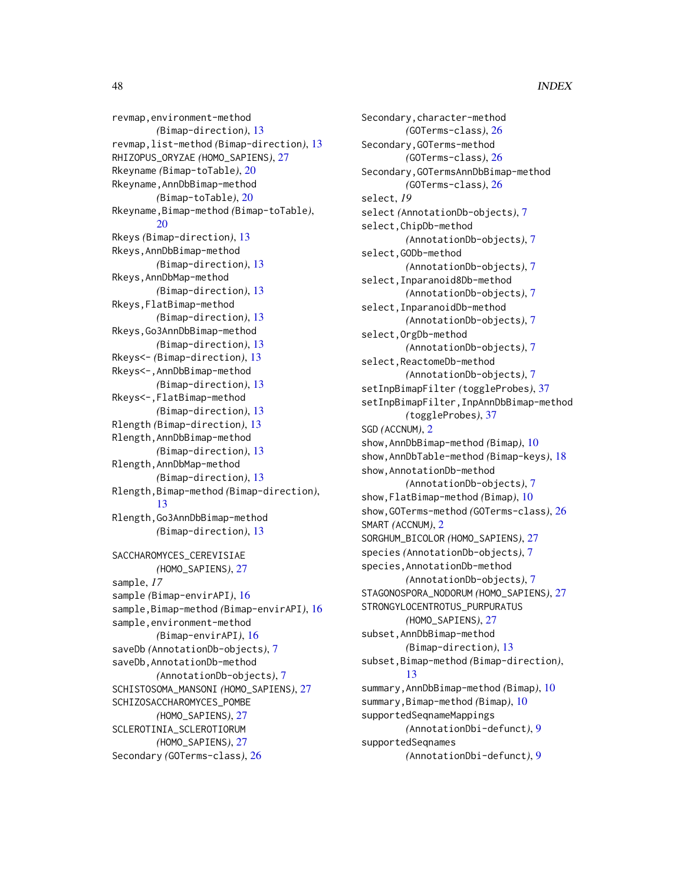revmap,environment-method *(*Bimap-direction*)*, [13](#page-12-0) revmap,list-method *(*Bimap-direction*)*, [13](#page-12-0) RHIZOPUS\_ORYZAE *(*HOMO\_SAPIENS*)*, [27](#page-26-0) Rkeyname *(*Bimap-toTable*)*, [20](#page-19-0) Rkeyname,AnnDbBimap-method *(*Bimap-toTable*)*, [20](#page-19-0) Rkeyname,Bimap-method *(*Bimap-toTable*)*, [20](#page-19-0) Rkeys *(*Bimap-direction*)*, [13](#page-12-0) Rkeys,AnnDbBimap-method *(*Bimap-direction*)*, [13](#page-12-0) Rkeys,AnnDbMap-method *(*Bimap-direction*)*, [13](#page-12-0) Rkeys,FlatBimap-method *(*Bimap-direction*)*, [13](#page-12-0) Rkeys,Go3AnnDbBimap-method *(*Bimap-direction*)*, [13](#page-12-0) Rkeys<- *(*Bimap-direction*)*, [13](#page-12-0) Rkeys<-,AnnDbBimap-method *(*Bimap-direction*)*, [13](#page-12-0) Rkeys<-,FlatBimap-method *(*Bimap-direction*)*, [13](#page-12-0) Rlength *(*Bimap-direction*)*, [13](#page-12-0) Rlength,AnnDbBimap-method *(*Bimap-direction*)*, [13](#page-12-0) Rlength,AnnDbMap-method *(*Bimap-direction*)*, [13](#page-12-0) Rlength,Bimap-method *(*Bimap-direction*)*, [13](#page-12-0) Rlength,Go3AnnDbBimap-method *(*Bimap-direction*)*, [13](#page-12-0) SACCHAROMYCES\_CEREVISIAE *(*HOMO\_SAPIENS*)*, [27](#page-26-0) sample, *17* sample *(*Bimap-envirAPI*)*, [16](#page-15-0) sample,Bimap-method *(*Bimap-envirAPI*)*, [16](#page-15-0) sample,environment-method *(*Bimap-envirAPI*)*, [16](#page-15-0) saveDb *(*AnnotationDb-objects*)*, [7](#page-6-0) saveDb,AnnotationDb-method *(*AnnotationDb-objects*)*, [7](#page-6-0) SCHISTOSOMA\_MANSONI *(*HOMO\_SAPIENS*)*, [27](#page-26-0) SCHIZOSACCHAROMYCES\_POMBE *(*HOMO\_SAPIENS*)*, [27](#page-26-0) SCLEROTINIA\_SCLEROTIORUM *(*HOMO\_SAPIENS*)*, [27](#page-26-0) Secondary *(*GOTerms-class*)*, [26](#page-25-0)

Secondary, character-method *(*GOTerms-class*)*, [26](#page-25-0) Secondary,GOTerms-method *(*GOTerms-class*)*, [26](#page-25-0) Secondary,GOTermsAnnDbBimap-method *(*GOTerms-class*)*, [26](#page-25-0) select, *19* select *(*AnnotationDb-objects*)*, [7](#page-6-0) select,ChipDb-method *(*AnnotationDb-objects*)*, [7](#page-6-0) select,GODb-method *(*AnnotationDb-objects*)*, [7](#page-6-0) select,Inparanoid8Db-method *(*AnnotationDb-objects*)*, [7](#page-6-0) select,InparanoidDb-method *(*AnnotationDb-objects*)*, [7](#page-6-0) select,OrgDb-method *(*AnnotationDb-objects*)*, [7](#page-6-0) select, ReactomeDb-method *(*AnnotationDb-objects*)*, [7](#page-6-0) setInpBimapFilter *(*toggleProbes*)*, [37](#page-36-0) setInpBimapFilter,InpAnnDbBimap-method *(*toggleProbes*)*, [37](#page-36-0) SGD *(*ACCNUM*)*, [2](#page-1-0) show,AnnDbBimap-method *(*Bimap*)*, [10](#page-9-0) show,AnnDbTable-method *(*Bimap-keys*)*, [18](#page-17-0) show,AnnotationDb-method *(*AnnotationDb-objects*)*, [7](#page-6-0) show,FlatBimap-method *(*Bimap*)*, [10](#page-9-0) show,GOTerms-method *(*GOTerms-class*)*, [26](#page-25-0) SMART *(*ACCNUM*)*, [2](#page-1-0) SORGHUM\_BICOLOR *(*HOMO\_SAPIENS*)*, [27](#page-26-0) species *(*AnnotationDb-objects*)*, [7](#page-6-0) species,AnnotationDb-method *(*AnnotationDb-objects*)*, [7](#page-6-0) STAGONOSPORA\_NODORUM *(*HOMO\_SAPIENS*)*, [27](#page-26-0) STRONGYLOCENTROTUS\_PURPURATUS *(*HOMO\_SAPIENS*)*, [27](#page-26-0) subset,AnnDbBimap-method *(*Bimap-direction*)*, [13](#page-12-0) subset,Bimap-method *(*Bimap-direction*)*, [13](#page-12-0) summary,AnnDbBimap-method *(*Bimap*)*, [10](#page-9-0) summary,Bimap-method *(*Bimap*)*, [10](#page-9-0) supportedSeqnameMappings *(*AnnotationDbi-defunct*)*, [9](#page-8-0) supportedSeqnames *(*AnnotationDbi-defunct*)*, [9](#page-8-0)